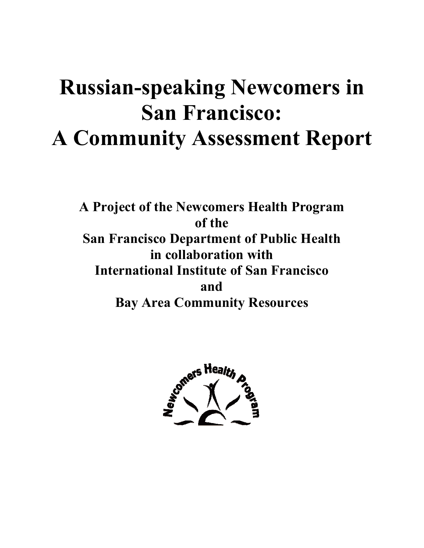# **Russian-speaking Newcomers in San Francisco: A Community Assessment Report**

**A Project of the Newcomers Health Program of the San Francisco Department of Public Health in collaboration with International Institute of San Francisco and Bay Area Community Resources** 

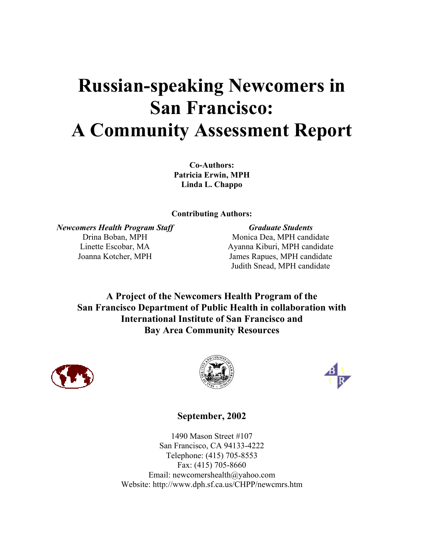# **Russian-speaking Newcomers in San Francisco: A Community Assessment Report**

**Co-Authors: Patricia Erwin, MPH Linda L. Chappo** 

**Contributing Authors:** 

*Newcomers Health Program Staff* **Graduate Students Graduate Students** 

Drina Boban, MPH Monica Dea, MPH candidate Linette Escobar, MA Ayanna Kiburi, MPH candidate Joanna Kotcher, MPH James Rapues, MPH candidate Judith Snead, MPH candidate

**A Project of the Newcomers Health Program of the San Francisco Department of Public Health in collaboration with International Institute of San Francisco and Bay Area Community Resources** 







# **September, 2002**

1490 Mason Street #107 San Francisco, CA 94133-4222 Telephone: (415) 705-8553 Fax: (415) 705-8660 Email: newcomershealth@yahoo.com Website: http://www.dph.sf.ca.us/CHPP/newcmrs.htm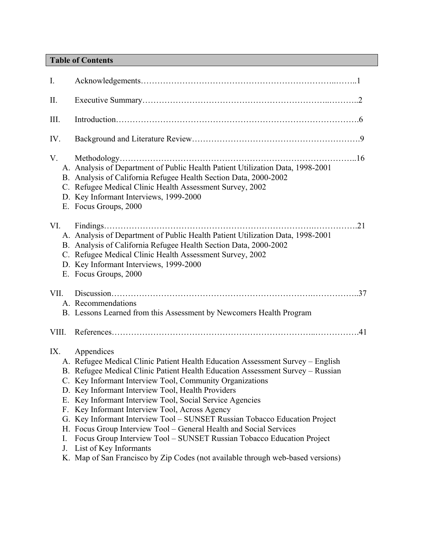# **Table of Contents**

| I.                                |                                                                                                                                                                                                                                                                                                                                                                                                                                                                                                                                                                                                                                                                                                                                                |
|-----------------------------------|------------------------------------------------------------------------------------------------------------------------------------------------------------------------------------------------------------------------------------------------------------------------------------------------------------------------------------------------------------------------------------------------------------------------------------------------------------------------------------------------------------------------------------------------------------------------------------------------------------------------------------------------------------------------------------------------------------------------------------------------|
| $\prod$                           |                                                                                                                                                                                                                                                                                                                                                                                                                                                                                                                                                                                                                                                                                                                                                |
| Ш.                                |                                                                                                                                                                                                                                                                                                                                                                                                                                                                                                                                                                                                                                                                                                                                                |
| IV.                               |                                                                                                                                                                                                                                                                                                                                                                                                                                                                                                                                                                                                                                                                                                                                                |
| V.                                | A. Analysis of Department of Public Health Patient Utilization Data, 1998-2001<br>B. Analysis of California Refugee Health Section Data, 2000-2002<br>C. Refugee Medical Clinic Health Assessment Survey, 2002<br>D. Key Informant Interviews, 1999-2000<br>E. Focus Groups, 2000                                                                                                                                                                                                                                                                                                                                                                                                                                                              |
| VI.                               | .21<br>.<br>A. Analysis of Department of Public Health Patient Utilization Data, 1998-2001<br>B. Analysis of California Refugee Health Section Data, 2000-2002<br>C. Refugee Medical Clinic Health Assessment Survey, 2002<br>D. Key Informant Interviews, 1999-2000<br>E. Focus Groups, 2000                                                                                                                                                                                                                                                                                                                                                                                                                                                  |
| VII.                              | A. Recommendations<br>B. Lessons Learned from this Assessment by Newcomers Health Program                                                                                                                                                                                                                                                                                                                                                                                                                                                                                                                                                                                                                                                      |
| VIII.                             |                                                                                                                                                                                                                                                                                                                                                                                                                                                                                                                                                                                                                                                                                                                                                |
| IX.<br>F.<br>G.<br>Н.<br>I.<br>J. | Appendices<br>A. Refugee Medical Clinic Patient Health Education Assessment Survey – English<br>B. Refugee Medical Clinic Patient Health Education Assessment Survey - Russian<br>C. Key Informant Interview Tool, Community Organizations<br>D. Key Informant Interview Tool, Health Providers<br>E. Key Informant Interview Tool, Social Service Agencies<br>Key Informant Interview Tool, Across Agency<br>Key Informant Interview Tool - SUNSET Russian Tobacco Education Project<br>Focus Group Interview Tool – General Health and Social Services<br>Focus Group Interview Tool - SUNSET Russian Tobacco Education Project<br>List of Key Informants<br>K. Map of San Francisco by Zip Codes (not available through web-based versions) |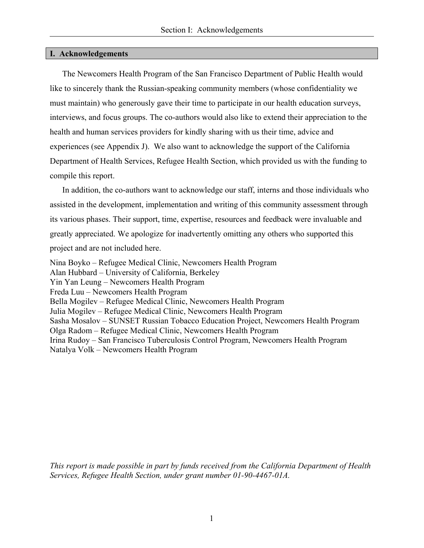## **I. Acknowledgements**

 The Newcomers Health Program of the San Francisco Department of Public Health would like to sincerely thank the Russian-speaking community members (whose confidentiality we must maintain) who generously gave their time to participate in our health education surveys, interviews, and focus groups. The co-authors would also like to extend their appreciation to the health and human services providers for kindly sharing with us their time, advice and experiences (see Appendix J). We also want to acknowledge the support of the California Department of Health Services, Refugee Health Section, which provided us with the funding to compile this report.

 In addition, the co-authors want to acknowledge our staff, interns and those individuals who assisted in the development, implementation and writing of this community assessment through its various phases. Their support, time, expertise, resources and feedback were invaluable and greatly appreciated. We apologize for inadvertently omitting any others who supported this project and are not included here.

Nina Boyko – Refugee Medical Clinic, Newcomers Health Program Alan Hubbard – University of California, Berkeley Yin Yan Leung – Newcomers Health Program Freda Luu – Newcomers Health Program Bella Mogilev – Refugee Medical Clinic, Newcomers Health Program Julia Mogilev – Refugee Medical Clinic, Newcomers Health Program Sasha Mosalov – SUNSET Russian Tobacco Education Project, Newcomers Health Program Olga Radom – Refugee Medical Clinic, Newcomers Health Program Irina Rudoy – San Francisco Tuberculosis Control Program, Newcomers Health Program Natalya Volk – Newcomers Health Program

*This report is made possible in part by funds received from the California Department of Health Services, Refugee Health Section, under grant number 01-90-4467-01A.*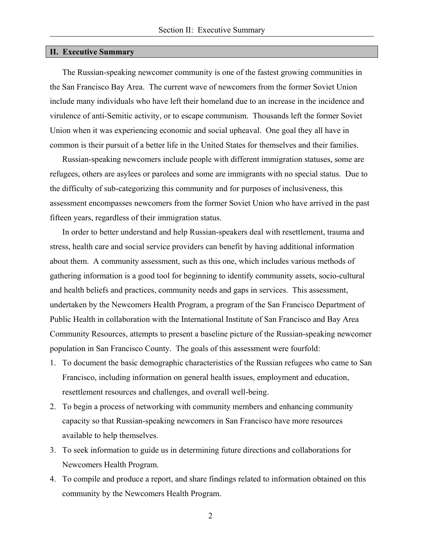#### **II. Executive Summary**

 The Russian-speaking newcomer community is one of the fastest growing communities in the San Francisco Bay Area. The current wave of newcomers from the former Soviet Union include many individuals who have left their homeland due to an increase in the incidence and virulence of anti-Semitic activity, or to escape communism. Thousands left the former Soviet Union when it was experiencing economic and social upheaval. One goal they all have in common is their pursuit of a better life in the United States for themselves and their families.

 Russian-speaking newcomers include people with different immigration statuses, some are refugees, others are asylees or parolees and some are immigrants with no special status. Due to the difficulty of sub-categorizing this community and for purposes of inclusiveness, this assessment encompasses newcomers from the former Soviet Union who have arrived in the past fifteen years, regardless of their immigration status.

 In order to better understand and help Russian-speakers deal with resettlement, trauma and stress, health care and social service providers can benefit by having additional information about them. A community assessment, such as this one, which includes various methods of gathering information is a good tool for beginning to identify community assets, socio-cultural and health beliefs and practices, community needs and gaps in services. This assessment, undertaken by the Newcomers Health Program, a program of the San Francisco Department of Public Health in collaboration with the International Institute of San Francisco and Bay Area Community Resources, attempts to present a baseline picture of the Russian-speaking newcomer population in San Francisco County. The goals of this assessment were fourfold:

- 1. To document the basic demographic characteristics of the Russian refugees who came to San Francisco, including information on general health issues, employment and education, resettlement resources and challenges, and overall well-being.
- 2. To begin a process of networking with community members and enhancing community capacity so that Russian-speaking newcomers in San Francisco have more resources available to help themselves.
- 3. To seek information to guide us in determining future directions and collaborations for Newcomers Health Program.
- 4. To compile and produce a report, and share findings related to information obtained on this community by the Newcomers Health Program.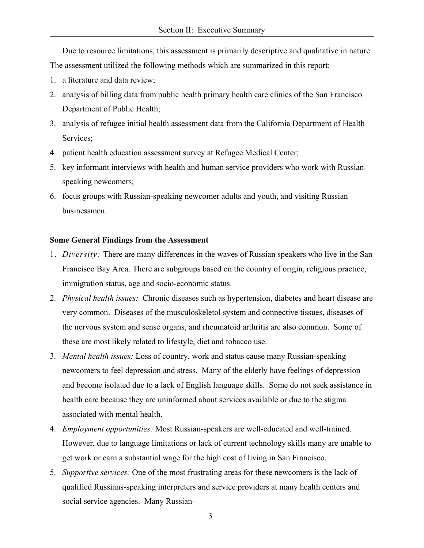Due to resource limitations, this assessment is primarily descriptive and qualitative in nature. The assessment utilized the following methods which are summarized in this report:

- 1. a literature and data review;
- 2. analysis of billing data from public health primary health care clinics of the San Francisco Department of Public Health;
- 3. analysis of refugee initial health assessment data from the California Department of Health Services;
- 4. patient health education assessment survey at Refugee Medical Center;
- 5. key informant interviews with health and human service providers who work with Russianspeaking newcomers;
- 6. focus groups with Russian-speaking newcomer adults and youth, and visiting Russian businessmen.

## **Some General Findings from the Assessment**

- 1. *Diversity:* There are many differences in the waves of Russian speakers who live in the San Francisco Bay Area. There are subgroups based on the country of origin, religious practice, immigration status, age and socio-economic status.
- 2. *Physical health issues:* Chronic diseases such as hypertension, diabetes and heart disease are very common. Diseases of the musculoskeletol system and connective tissues, diseases of the nervous system and sense organs, and rheumatoid arthritis are also common. Some of these are most likely related to lifestyle, diet and tobacco use.
- 3. *Mental health issues:* Loss of country, work and status cause many Russian-speaking newcomers to feel depression and stress. Many of the elderly have feelings of depression and become isolated due to a lack of English language skills. Some do not seek assistance in health care because they are uninformed about services available or due to the stigma associated with mental health.
- 4. *Employment opportunities:* Most Russian-speakers are well-educated and well-trained. However, due to language limitations or lack of current technology skills many are unable to get work or earn a substantial wage for the high cost of living in San Francisco.
- 5. *Supportive services:* One of the most frustrating areas for these newcomers is the lack of qualified Russians-speaking interpreters and service providers at many health centers and social service agencies. Many Russian-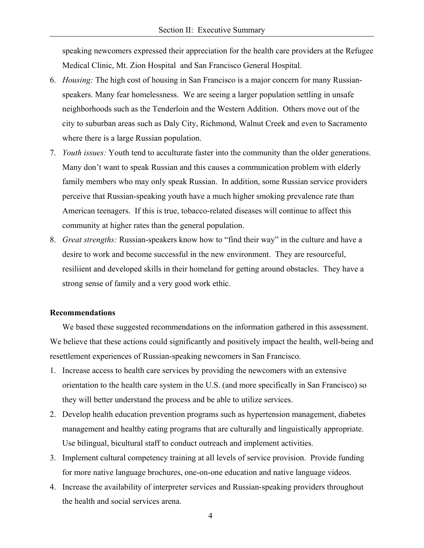speaking newcomers expressed their appreciation for the health care providers at the Refugee Medical Clinic, Mt. Zion Hospital and San Francisco General Hospital.

- 6. *Housing:* The high cost of housing in San Francisco is a major concern for many Russianspeakers. Many fear homelessness. We are seeing a larger population settling in unsafe neighborhoods such as the Tenderloin and the Western Addition. Others move out of the city to suburban areas such as Daly City, Richmond, Walnut Creek and even to Sacramento where there is a large Russian population.
- 7. *Youth issues:* Youth tend to acculturate faster into the community than the older generations. Many don't want to speak Russian and this causes a communication problem with elderly family members who may only speak Russian. In addition, some Russian service providers perceive that Russian-speaking youth have a much higher smoking prevalence rate than American teenagers. If this is true, tobacco-related diseases will continue to affect this community at higher rates than the general population.
- 8. *Great strengths:* Russian-speakers know how to "find their way" in the culture and have a desire to work and become successful in the new environment. They are resourceful, resiliient and developed skills in their homeland for getting around obstacles. They have a strong sense of family and a very good work ethic.

### **Recommendations**

 We based these suggested recommendations on the information gathered in this assessment. We believe that these actions could significantly and positively impact the health, well-being and resettlement experiences of Russian-speaking newcomers in San Francisco.

- 1. Increase access to health care services by providing the newcomers with an extensive orientation to the health care system in the U.S. (and more specifically in San Francisco) so they will better understand the process and be able to utilize services.
- 2. Develop health education prevention programs such as hypertension management, diabetes management and healthy eating programs that are culturally and linguistically appropriate. Use bilingual, bicultural staff to conduct outreach and implement activities.
- 3. Implement cultural competency training at all levels of service provision. Provide funding for more native language brochures, one-on-one education and native language videos.
- 4. Increase the availability of interpreter services and Russian-speaking providers throughout the health and social services arena.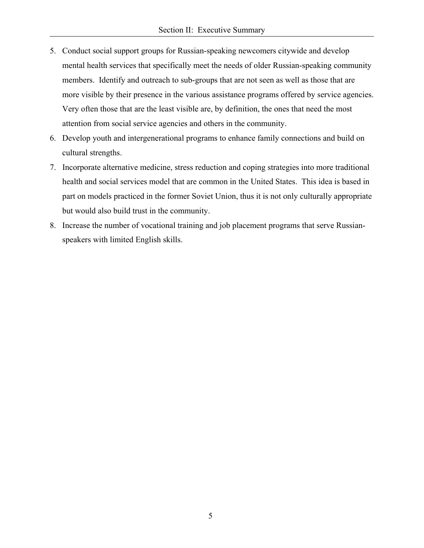- 5. Conduct social support groups for Russian-speaking newcomers citywide and develop mental health services that specifically meet the needs of older Russian-speaking community members. Identify and outreach to sub-groups that are not seen as well as those that are more visible by their presence in the various assistance programs offered by service agencies. Very often those that are the least visible are, by definition, the ones that need the most attention from social service agencies and others in the community.
- 6. Develop youth and intergenerational programs to enhance family connections and build on cultural strengths.
- 7. Incorporate alternative medicine, stress reduction and coping strategies into more traditional health and social services model that are common in the United States. This idea is based in part on models practiced in the former Soviet Union, thus it is not only culturally appropriate but would also build trust in the community.
- 8. Increase the number of vocational training and job placement programs that serve Russianspeakers with limited English skills.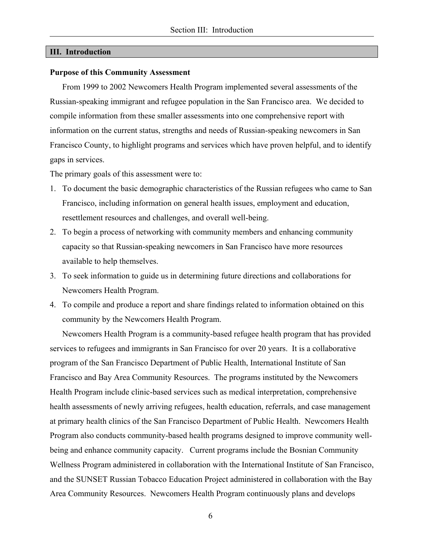#### **III. Introduction**

#### **Purpose of this Community Assessment**

 From 1999 to 2002 Newcomers Health Program implemented several assessments of the Russian-speaking immigrant and refugee population in the San Francisco area. We decided to compile information from these smaller assessments into one comprehensive report with information on the current status, strengths and needs of Russian-speaking newcomers in San Francisco County, to highlight programs and services which have proven helpful, and to identify gaps in services.

The primary goals of this assessment were to:

- 1. To document the basic demographic characteristics of the Russian refugees who came to San Francisco, including information on general health issues, employment and education, resettlement resources and challenges, and overall well-being.
- 2. To begin a process of networking with community members and enhancing community capacity so that Russian-speaking newcomers in San Francisco have more resources available to help themselves.
- 3. To seek information to guide us in determining future directions and collaborations for Newcomers Health Program.
- 4. To compile and produce a report and share findings related to information obtained on this community by the Newcomers Health Program.

 Newcomers Health Program is a community-based refugee health program that has provided services to refugees and immigrants in San Francisco for over 20 years. It is a collaborative program of the San Francisco Department of Public Health, International Institute of San Francisco and Bay Area Community Resources. The programs instituted by the Newcomers Health Program include clinic-based services such as medical interpretation, comprehensive health assessments of newly arriving refugees, health education, referrals, and case management at primary health clinics of the San Francisco Department of Public Health. Newcomers Health Program also conducts community-based health programs designed to improve community wellbeing and enhance community capacity. Current programs include the Bosnian Community Wellness Program administered in collaboration with the International Institute of San Francisco, and the SUNSET Russian Tobacco Education Project administered in collaboration with the Bay Area Community Resources. Newcomers Health Program continuously plans and develops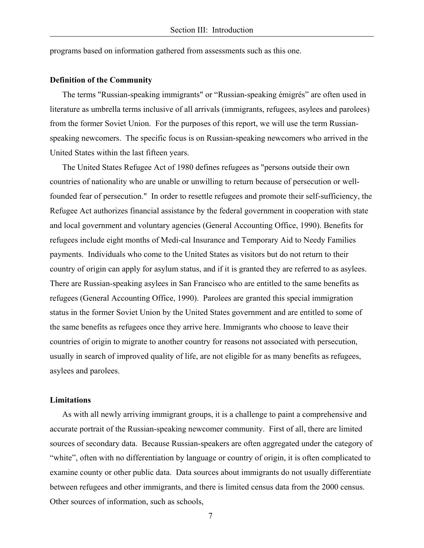programs based on information gathered from assessments such as this one.

#### **Definition of the Community**

 The terms "Russian-speaking immigrants" or "Russian-speaking émigrés" are often used in literature as umbrella terms inclusive of all arrivals (immigrants, refugees, asylees and parolees) from the former Soviet Union. For the purposes of this report, we will use the term Russianspeaking newcomers. The specific focus is on Russian-speaking newcomers who arrived in the United States within the last fifteen years.

 The United States Refugee Act of 1980 defines refugees as "persons outside their own countries of nationality who are unable or unwilling to return because of persecution or wellfounded fear of persecution." In order to resettle refugees and promote their self-sufficiency, the Refugee Act authorizes financial assistance by the federal government in cooperation with state and local government and voluntary agencies (General Accounting Office, 1990). Benefits for refugees include eight months of Medi-cal Insurance and Temporary Aid to Needy Families payments. Individuals who come to the United States as visitors but do not return to their country of origin can apply for asylum status, and if it is granted they are referred to as asylees. There are Russian-speaking asylees in San Francisco who are entitled to the same benefits as refugees (General Accounting Office, 1990). Parolees are granted this special immigration status in the former Soviet Union by the United States government and are entitled to some of the same benefits as refugees once they arrive here. Immigrants who choose to leave their countries of origin to migrate to another country for reasons not associated with persecution, usually in search of improved quality of life, are not eligible for as many benefits as refugees, asylees and parolees.

#### **Limitations**

 As with all newly arriving immigrant groups, it is a challenge to paint a comprehensive and accurate portrait of the Russian-speaking newcomer community. First of all, there are limited sources of secondary data. Because Russian-speakers are often aggregated under the category of "white", often with no differentiation by language or country of origin, it is often complicated to examine county or other public data. Data sources about immigrants do not usually differentiate between refugees and other immigrants, and there is limited census data from the 2000 census. Other sources of information, such as schools,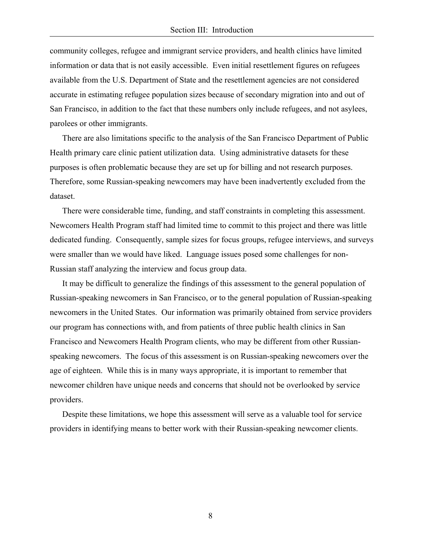community colleges, refugee and immigrant service providers, and health clinics have limited information or data that is not easily accessible. Even initial resettlement figures on refugees available from the U.S. Department of State and the resettlement agencies are not considered accurate in estimating refugee population sizes because of secondary migration into and out of San Francisco, in addition to the fact that these numbers only include refugees, and not asylees, parolees or other immigrants.

 There are also limitations specific to the analysis of the San Francisco Department of Public Health primary care clinic patient utilization data. Using administrative datasets for these purposes is often problematic because they are set up for billing and not research purposes. Therefore, some Russian-speaking newcomers may have been inadvertently excluded from the dataset.

 There were considerable time, funding, and staff constraints in completing this assessment. Newcomers Health Program staff had limited time to commit to this project and there was little dedicated funding. Consequently, sample sizes for focus groups, refugee interviews, and surveys were smaller than we would have liked. Language issues posed some challenges for non-Russian staff analyzing the interview and focus group data.

 It may be difficult to generalize the findings of this assessment to the general population of Russian-speaking newcomers in San Francisco, or to the general population of Russian-speaking newcomers in the United States. Our information was primarily obtained from service providers our program has connections with, and from patients of three public health clinics in San Francisco and Newcomers Health Program clients, who may be different from other Russianspeaking newcomers. The focus of this assessment is on Russian-speaking newcomers over the age of eighteen. While this is in many ways appropriate, it is important to remember that newcomer children have unique needs and concerns that should not be overlooked by service providers.

 Despite these limitations, we hope this assessment will serve as a valuable tool for service providers in identifying means to better work with their Russian-speaking newcomer clients.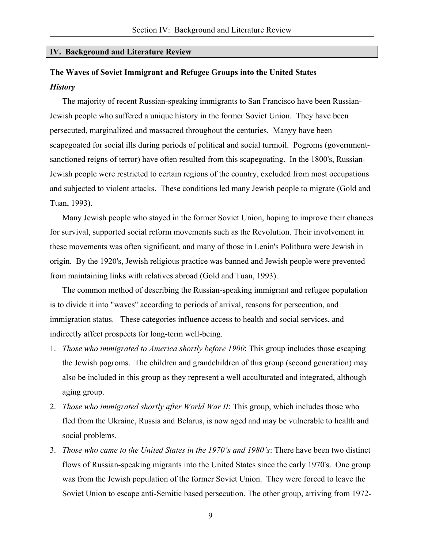#### **IV. Background and Literature Review**

# **The Waves of Soviet Immigrant and Refugee Groups into the United States**  *History*

 The majority of recent Russian-speaking immigrants to San Francisco have been Russian-Jewish people who suffered a unique history in the former Soviet Union. They have been persecuted, marginalized and massacred throughout the centuries. Manyy have been scapegoated for social ills during periods of political and social turmoil. Pogroms (governmentsanctioned reigns of terror) have often resulted from this scapegoating. In the 1800's, Russian-Jewish people were restricted to certain regions of the country, excluded from most occupations and subjected to violent attacks. These conditions led many Jewish people to migrate (Gold and Tuan, 1993).

 Many Jewish people who stayed in the former Soviet Union, hoping to improve their chances for survival, supported social reform movements such as the Revolution. Their involvement in these movements was often significant, and many of those in Lenin's Politburo were Jewish in origin. By the 1920's, Jewish religious practice was banned and Jewish people were prevented from maintaining links with relatives abroad (Gold and Tuan, 1993).

 The common method of describing the Russian-speaking immigrant and refugee population is to divide it into "waves" according to periods of arrival, reasons for persecution, and immigration status. These categories influence access to health and social services, and indirectly affect prospects for long-term well-being.

- 1. *Those who immigrated to America shortly before 1900*: This group includes those escaping the Jewish pogroms. The children and grandchildren of this group (second generation) may also be included in this group as they represent a well acculturated and integrated, although aging group.
- 2. *Those who immigrated shortly after World War II*: This group, which includes those who fled from the Ukraine, Russia and Belarus, is now aged and may be vulnerable to health and social problems.
- 3. *Those who came to the United States in the 1970's and 1980's*: There have been two distinct flows of Russian-speaking migrants into the United States since the early 1970's. One group was from the Jewish population of the former Soviet Union. They were forced to leave the Soviet Union to escape anti-Semitic based persecution. The other group, arriving from 1972-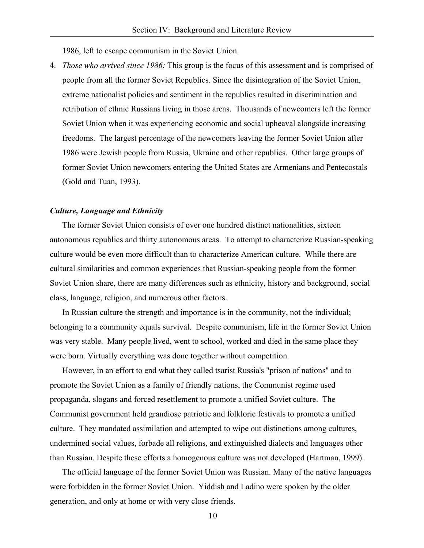1986, left to escape communism in the Soviet Union.

4. *Those who arrived since 1986:* This group is the focus of this assessment and is comprised of people from all the former Soviet Republics. Since the disintegration of the Soviet Union, extreme nationalist policies and sentiment in the republics resulted in discrimination and retribution of ethnic Russians living in those areas. Thousands of newcomers left the former Soviet Union when it was experiencing economic and social upheaval alongside increasing freedoms. The largest percentage of the newcomers leaving the former Soviet Union after 1986 were Jewish people from Russia, Ukraine and other republics. Other large groups of former Soviet Union newcomers entering the United States are Armenians and Pentecostals (Gold and Tuan, 1993).

#### *Culture, Language and Ethnicity*

 The former Soviet Union consists of over one hundred distinct nationalities, sixteen autonomous republics and thirty autonomous areas. To attempt to characterize Russian-speaking culture would be even more difficult than to characterize American culture. While there are cultural similarities and common experiences that Russian-speaking people from the former Soviet Union share, there are many differences such as ethnicity, history and background, social class, language, religion, and numerous other factors.

 In Russian culture the strength and importance is in the community, not the individual; belonging to a community equals survival. Despite communism, life in the former Soviet Union was very stable. Many people lived, went to school, worked and died in the same place they were born. Virtually everything was done together without competition.

 However, in an effort to end what they called tsarist Russia's "prison of nations" and to promote the Soviet Union as a family of friendly nations, the Communist regime used propaganda, slogans and forced resettlement to promote a unified Soviet culture. The Communist government held grandiose patriotic and folkloric festivals to promote a unified culture. They mandated assimilation and attempted to wipe out distinctions among cultures, undermined social values, forbade all religions, and extinguished dialects and languages other than Russian. Despite these efforts a homogenous culture was not developed (Hartman, 1999).

 The official language of the former Soviet Union was Russian. Many of the native languages were forbidden in the former Soviet Union. Yiddish and Ladino were spoken by the older generation, and only at home or with very close friends.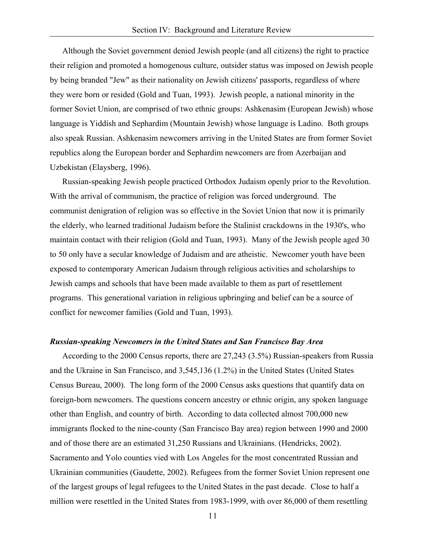Although the Soviet government denied Jewish people (and all citizens) the right to practice their religion and promoted a homogenous culture, outsider status was imposed on Jewish people by being branded "Jew" as their nationality on Jewish citizens' passports, regardless of where they were born or resided (Gold and Tuan, 1993). Jewish people, a national minority in the former Soviet Union, are comprised of two ethnic groups: Ashkenasim (European Jewish) whose language is Yiddish and Sephardim (Mountain Jewish) whose language is Ladino. Both groups also speak Russian. Ashkenasim newcomers arriving in the United States are from former Soviet republics along the European border and Sephardim newcomers are from Azerbaijan and Uzbekistan (Elaysberg, 1996).

 Russian-speaking Jewish people practiced Orthodox Judaism openly prior to the Revolution. With the arrival of communism, the practice of religion was forced underground. The communist denigration of religion was so effective in the Soviet Union that now it is primarily the elderly, who learned traditional Judaism before the Stalinist crackdowns in the 1930's, who maintain contact with their religion (Gold and Tuan, 1993). Many of the Jewish people aged 30 to 50 only have a secular knowledge of Judaism and are atheistic. Newcomer youth have been exposed to contemporary American Judaism through religious activities and scholarships to Jewish camps and schools that have been made available to them as part of resettlement programs. This generational variation in religious upbringing and belief can be a source of conflict for newcomer families (Gold and Tuan, 1993).

#### *Russian-speaking Newcomers in the United States and San Francisco Bay Area*

 According to the 2000 Census reports, there are 27,243 (3.5%) Russian-speakers from Russia and the Ukraine in San Francisco, and 3,545,136 (1.2%) in the United States (United States Census Bureau, 2000). The long form of the 2000 Census asks questions that quantify data on foreign-born newcomers. The questions concern ancestry or ethnic origin, any spoken language other than English, and country of birth. According to data collected almost 700,000 new immigrants flocked to the nine-county (San Francisco Bay area) region between 1990 and 2000 and of those there are an estimated 31,250 Russians and Ukrainians. (Hendricks, 2002). Sacramento and Yolo counties vied with Los Angeles for the most concentrated Russian and Ukrainian communities (Gaudette, 2002). Refugees from the former Soviet Union represent one of the largest groups of legal refugees to the United States in the past decade. Close to half a million were resettled in the United States from 1983-1999, with over 86,000 of them resettling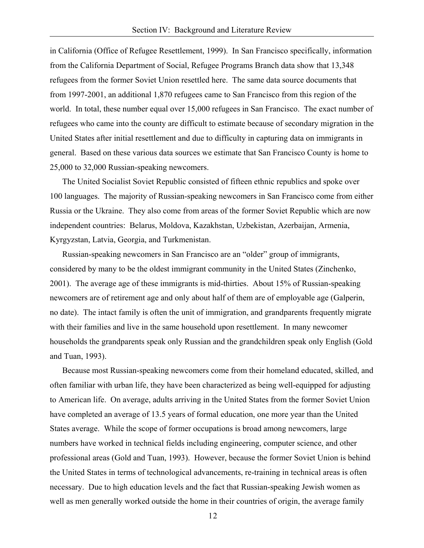in California (Office of Refugee Resettlement, 1999). In San Francisco specifically, information from the California Department of Social, Refugee Programs Branch data show that 13,348 refugees from the former Soviet Union resettled here. The same data source documents that from 1997-2001, an additional 1,870 refugees came to San Francisco from this region of the world. In total, these number equal over 15,000 refugees in San Francisco. The exact number of refugees who came into the county are difficult to estimate because of secondary migration in the United States after initial resettlement and due to difficulty in capturing data on immigrants in general. Based on these various data sources we estimate that San Francisco County is home to 25,000 to 32,000 Russian-speaking newcomers.

 The United Socialist Soviet Republic consisted of fifteen ethnic republics and spoke over 100 languages. The majority of Russian-speaking newcomers in San Francisco come from either Russia or the Ukraine. They also come from areas of the former Soviet Republic which are now independent countries: Belarus, Moldova, Kazakhstan, Uzbekistan, Azerbaijan, Armenia, Kyrgyzstan, Latvia, Georgia, and Turkmenistan.

 Russian-speaking newcomers in San Francisco are an "older" group of immigrants, considered by many to be the oldest immigrant community in the United States (Zinchenko, 2001). The average age of these immigrants is mid-thirties. About 15% of Russian-speaking newcomers are of retirement age and only about half of them are of employable age (Galperin, no date). The intact family is often the unit of immigration, and grandparents frequently migrate with their families and live in the same household upon resettlement. In many newcomer households the grandparents speak only Russian and the grandchildren speak only English (Gold and Tuan, 1993).

 Because most Russian-speaking newcomers come from their homeland educated, skilled, and often familiar with urban life, they have been characterized as being well-equipped for adjusting to American life. On average, adults arriving in the United States from the former Soviet Union have completed an average of 13.5 years of formal education, one more year than the United States average. While the scope of former occupations is broad among newcomers, large numbers have worked in technical fields including engineering, computer science, and other professional areas (Gold and Tuan, 1993). However, because the former Soviet Union is behind the United States in terms of technological advancements, re-training in technical areas is often necessary. Due to high education levels and the fact that Russian-speaking Jewish women as well as men generally worked outside the home in their countries of origin, the average family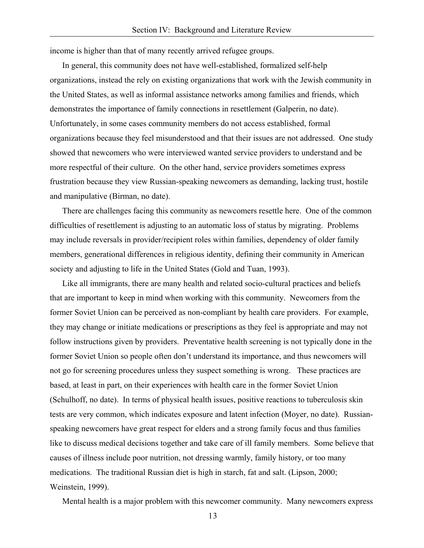income is higher than that of many recently arrived refugee groups.

 In general, this community does not have well-established, formalized self-help organizations, instead the rely on existing organizations that work with the Jewish community in the United States, as well as informal assistance networks among families and friends, which demonstrates the importance of family connections in resettlement (Galperin, no date). Unfortunately, in some cases community members do not access established, formal organizations because they feel misunderstood and that their issues are not addressed. One study showed that newcomers who were interviewed wanted service providers to understand and be more respectful of their culture. On the other hand, service providers sometimes express frustration because they view Russian-speaking newcomers as demanding, lacking trust, hostile and manipulative (Birman, no date).

 There are challenges facing this community as newcomers resettle here. One of the common difficulties of resettlement is adjusting to an automatic loss of status by migrating. Problems may include reversals in provider/recipient roles within families, dependency of older family members, generational differences in religious identity, defining their community in American society and adjusting to life in the United States (Gold and Tuan, 1993).

 Like all immigrants, there are many health and related socio-cultural practices and beliefs that are important to keep in mind when working with this community. Newcomers from the former Soviet Union can be perceived as non-compliant by health care providers. For example, they may change or initiate medications or prescriptions as they feel is appropriate and may not follow instructions given by providers. Preventative health screening is not typically done in the former Soviet Union so people often don't understand its importance, and thus newcomers will not go for screening procedures unless they suspect something is wrong. These practices are based, at least in part, on their experiences with health care in the former Soviet Union (Schulhoff, no date). In terms of physical health issues, positive reactions to tuberculosis skin tests are very common, which indicates exposure and latent infection (Moyer, no date). Russianspeaking newcomers have great respect for elders and a strong family focus and thus families like to discuss medical decisions together and take care of ill family members. Some believe that causes of illness include poor nutrition, not dressing warmly, family history, or too many medications. The traditional Russian diet is high in starch, fat and salt. (Lipson, 2000; Weinstein, 1999).

Mental health is a major problem with this newcomer community. Many newcomers express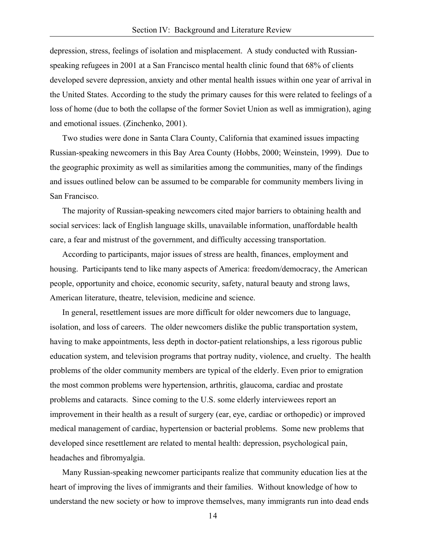depression, stress, feelings of isolation and misplacement. A study conducted with Russianspeaking refugees in 2001 at a San Francisco mental health clinic found that 68% of clients developed severe depression, anxiety and other mental health issues within one year of arrival in the United States. According to the study the primary causes for this were related to feelings of a loss of home (due to both the collapse of the former Soviet Union as well as immigration), aging and emotional issues. (Zinchenko, 2001).

 Two studies were done in Santa Clara County, California that examined issues impacting Russian-speaking newcomers in this Bay Area County (Hobbs, 2000; Weinstein, 1999). Due to the geographic proximity as well as similarities among the communities, many of the findings and issues outlined below can be assumed to be comparable for community members living in San Francisco.

 The majority of Russian-speaking newcomers cited major barriers to obtaining health and social services: lack of English language skills, unavailable information, unaffordable health care, a fear and mistrust of the government, and difficulty accessing transportation.

 According to participants, major issues of stress are health, finances, employment and housing. Participants tend to like many aspects of America: freedom/democracy, the American people, opportunity and choice, economic security, safety, natural beauty and strong laws, American literature, theatre, television, medicine and science.

 In general, resettlement issues are more difficult for older newcomers due to language, isolation, and loss of careers. The older newcomers dislike the public transportation system, having to make appointments, less depth in doctor-patient relationships, a less rigorous public education system, and television programs that portray nudity, violence, and cruelty. The health problems of the older community members are typical of the elderly. Even prior to emigration the most common problems were hypertension, arthritis, glaucoma, cardiac and prostate problems and cataracts. Since coming to the U.S. some elderly interviewees report an improvement in their health as a result of surgery (ear, eye, cardiac or orthopedic) or improved medical management of cardiac, hypertension or bacterial problems. Some new problems that developed since resettlement are related to mental health: depression, psychological pain, headaches and fibromyalgia.

 Many Russian-speaking newcomer participants realize that community education lies at the heart of improving the lives of immigrants and their families. Without knowledge of how to understand the new society or how to improve themselves, many immigrants run into dead ends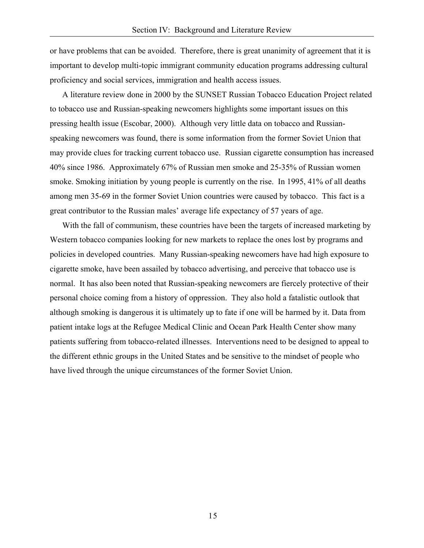or have problems that can be avoided. Therefore, there is great unanimity of agreement that it is important to develop multi-topic immigrant community education programs addressing cultural proficiency and social services, immigration and health access issues.

 A literature review done in 2000 by the SUNSET Russian Tobacco Education Project related to tobacco use and Russian-speaking newcomers highlights some important issues on this pressing health issue (Escobar, 2000). Although very little data on tobacco and Russianspeaking newcomers was found, there is some information from the former Soviet Union that may provide clues for tracking current tobacco use. Russian cigarette consumption has increased 40% since 1986. Approximately 67% of Russian men smoke and 25-35% of Russian women smoke. Smoking initiation by young people is currently on the rise. In 1995, 41% of all deaths among men 35-69 in the former Soviet Union countries were caused by tobacco. This fact is a great contributor to the Russian males' average life expectancy of 57 years of age.

 With the fall of communism, these countries have been the targets of increased marketing by Western tobacco companies looking for new markets to replace the ones lost by programs and policies in developed countries. Many Russian-speaking newcomers have had high exposure to cigarette smoke, have been assailed by tobacco advertising, and perceive that tobacco use is normal. It has also been noted that Russian-speaking newcomers are fiercely protective of their personal choice coming from a history of oppression. They also hold a fatalistic outlook that although smoking is dangerous it is ultimately up to fate if one will be harmed by it. Data from patient intake logs at the Refugee Medical Clinic and Ocean Park Health Center show many patients suffering from tobacco-related illnesses. Interventions need to be designed to appeal to the different ethnic groups in the United States and be sensitive to the mindset of people who have lived through the unique circumstances of the former Soviet Union.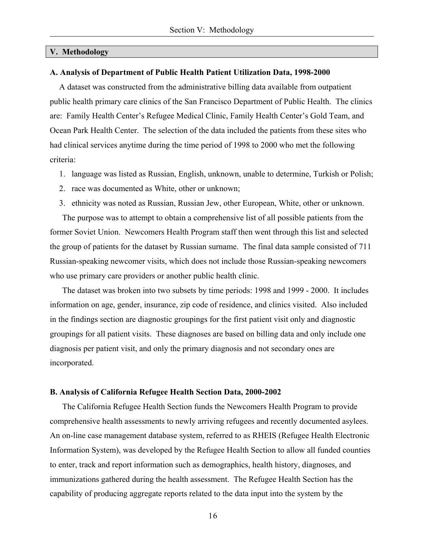#### **V. Methodology**

#### **A. Analysis of Department of Public Health Patient Utilization Data, 1998-2000**

A dataset was constructed from the administrative billing data available from outpatient public health primary care clinics of the San Francisco Department of Public Health. The clinics are: Family Health Center's Refugee Medical Clinic, Family Health Center's Gold Team, and Ocean Park Health Center. The selection of the data included the patients from these sites who had clinical services anytime during the time period of 1998 to 2000 who met the following criteria:

- 1. language was listed as Russian, English, unknown, unable to determine, Turkish or Polish;
- 2. race was documented as White, other or unknown;
- 3. ethnicity was noted as Russian, Russian Jew, other European, White, other or unknown.

 The purpose was to attempt to obtain a comprehensive list of all possible patients from the former Soviet Union. Newcomers Health Program staff then went through this list and selected the group of patients for the dataset by Russian surname. The final data sample consisted of 711 Russian-speaking newcomer visits, which does not include those Russian-speaking newcomers who use primary care providers or another public health clinic.

 The dataset was broken into two subsets by time periods: 1998 and 1999 - 2000. It includes information on age, gender, insurance, zip code of residence, and clinics visited. Also included in the findings section are diagnostic groupings for the first patient visit only and diagnostic groupings for all patient visits. These diagnoses are based on billing data and only include one diagnosis per patient visit, and only the primary diagnosis and not secondary ones are incorporated.

#### **B. Analysis of California Refugee Health Section Data, 2000-2002**

 The California Refugee Health Section funds the Newcomers Health Program to provide comprehensive health assessments to newly arriving refugees and recently documented asylees. An on-line case management database system, referred to as RHEIS (Refugee Health Electronic Information System), was developed by the Refugee Health Section to allow all funded counties to enter, track and report information such as demographics, health history, diagnoses, and immunizations gathered during the health assessment. The Refugee Health Section has the capability of producing aggregate reports related to the data input into the system by the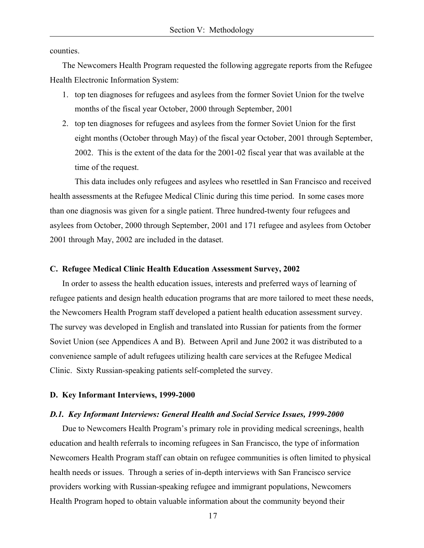counties.

 The Newcomers Health Program requested the following aggregate reports from the Refugee Health Electronic Information System:

- 1. top ten diagnoses for refugees and asylees from the former Soviet Union for the twelve months of the fiscal year October, 2000 through September, 2001
- 2. top ten diagnoses for refugees and asylees from the former Soviet Union for the first eight months (October through May) of the fiscal year October, 2001 through September, 2002. This is the extent of the data for the 2001-02 fiscal year that was available at the time of the request.

This data includes only refugees and asylees who resettled in San Francisco and received health assessments at the Refugee Medical Clinic during this time period. In some cases more than one diagnosis was given for a single patient. Three hundred-twenty four refugees and asylees from October, 2000 through September, 2001 and 171 refugee and asylees from October 2001 through May, 2002 are included in the dataset.

#### **C. Refugee Medical Clinic Health Education Assessment Survey, 2002**

 In order to assess the health education issues, interests and preferred ways of learning of refugee patients and design health education programs that are more tailored to meet these needs, the Newcomers Health Program staff developed a patient health education assessment survey. The survey was developed in English and translated into Russian for patients from the former Soviet Union (see Appendices A and B). Between April and June 2002 it was distributed to a convenience sample of adult refugees utilizing health care services at the Refugee Medical Clinic. Sixty Russian-speaking patients self-completed the survey.

#### **D. Key Informant Interviews, 1999-2000**

#### *D.1. Key Informant Interviews: General Health and Social Service Issues, 1999-2000*

 Due to Newcomers Health Program's primary role in providing medical screenings, health education and health referrals to incoming refugees in San Francisco, the type of information Newcomers Health Program staff can obtain on refugee communities is often limited to physical health needs or issues. Through a series of in-depth interviews with San Francisco service providers working with Russian-speaking refugee and immigrant populations, Newcomers Health Program hoped to obtain valuable information about the community beyond their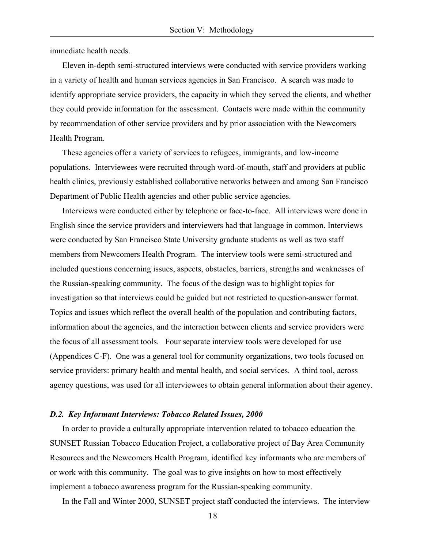immediate health needs.

 Eleven in-depth semi-structured interviews were conducted with service providers working in a variety of health and human services agencies in San Francisco. A search was made to identify appropriate service providers, the capacity in which they served the clients, and whether they could provide information for the assessment. Contacts were made within the community by recommendation of other service providers and by prior association with the Newcomers Health Program.

 These agencies offer a variety of services to refugees, immigrants, and low-income populations. Interviewees were recruited through word-of-mouth, staff and providers at public health clinics, previously established collaborative networks between and among San Francisco Department of Public Health agencies and other public service agencies.

 Interviews were conducted either by telephone or face-to-face. All interviews were done in English since the service providers and interviewers had that language in common. Interviews were conducted by San Francisco State University graduate students as well as two staff members from Newcomers Health Program. The interview tools were semi-structured and included questions concerning issues, aspects, obstacles, barriers, strengths and weaknesses of the Russian-speaking community. The focus of the design was to highlight topics for investigation so that interviews could be guided but not restricted to question-answer format. Topics and issues which reflect the overall health of the population and contributing factors, information about the agencies, and the interaction between clients and service providers were the focus of all assessment tools. Four separate interview tools were developed for use (Appendices C-F). One was a general tool for community organizations, two tools focused on service providers: primary health and mental health, and social services. A third tool, across agency questions, was used for all interviewees to obtain general information about their agency.

#### *D.2. Key Informant Interviews: Tobacco Related Issues, 2000*

 In order to provide a culturally appropriate intervention related to tobacco education the SUNSET Russian Tobacco Education Project, a collaborative project of Bay Area Community Resources and the Newcomers Health Program, identified key informants who are members of or work with this community. The goal was to give insights on how to most effectively implement a tobacco awareness program for the Russian-speaking community.

In the Fall and Winter 2000, SUNSET project staff conducted the interviews. The interview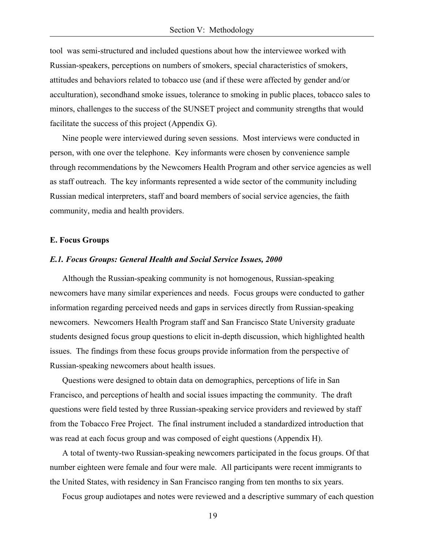tool was semi-structured and included questions about how the interviewee worked with Russian-speakers, perceptions on numbers of smokers, special characteristics of smokers, attitudes and behaviors related to tobacco use (and if these were affected by gender and/or acculturation), secondhand smoke issues, tolerance to smoking in public places, tobacco sales to minors, challenges to the success of the SUNSET project and community strengths that would facilitate the success of this project (Appendix G).

 Nine people were interviewed during seven sessions. Most interviews were conducted in person, with one over the telephone. Key informants were chosen by convenience sample through recommendations by the Newcomers Health Program and other service agencies as well as staff outreach. The key informants represented a wide sector of the community including Russian medical interpreters, staff and board members of social service agencies, the faith community, media and health providers.

#### **E. Focus Groups**

#### *E.1. Focus Groups: General Health and Social Service Issues, 2000*

 Although the Russian-speaking community is not homogenous, Russian-speaking newcomers have many similar experiences and needs. Focus groups were conducted to gather information regarding perceived needs and gaps in services directly from Russian-speaking newcomers. Newcomers Health Program staff and San Francisco State University graduate students designed focus group questions to elicit in-depth discussion, which highlighted health issues. The findings from these focus groups provide information from the perspective of Russian-speaking newcomers about health issues.

 Questions were designed to obtain data on demographics, perceptions of life in San Francisco, and perceptions of health and social issues impacting the community. The draft questions were field tested by three Russian-speaking service providers and reviewed by staff from the Tobacco Free Project. The final instrument included a standardized introduction that was read at each focus group and was composed of eight questions (Appendix H).

 A total of twenty-two Russian-speaking newcomers participated in the focus groups. Of that number eighteen were female and four were male. All participants were recent immigrants to the United States, with residency in San Francisco ranging from ten months to six years.

Focus group audiotapes and notes were reviewed and a descriptive summary of each question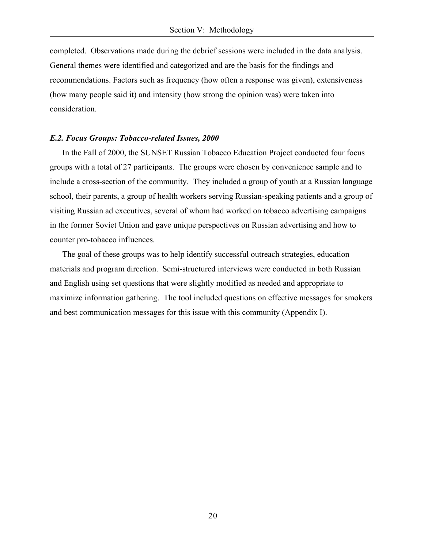completed. Observations made during the debrief sessions were included in the data analysis. General themes were identified and categorized and are the basis for the findings and recommendations. Factors such as frequency (how often a response was given), extensiveness (how many people said it) and intensity (how strong the opinion was) were taken into consideration.

#### *E.2. Focus Groups: Tobacco-related Issues, 2000*

 In the Fall of 2000, the SUNSET Russian Tobacco Education Project conducted four focus groups with a total of 27 participants. The groups were chosen by convenience sample and to include a cross-section of the community. They included a group of youth at a Russian language school, their parents, a group of health workers serving Russian-speaking patients and a group of visiting Russian ad executives, several of whom had worked on tobacco advertising campaigns in the former Soviet Union and gave unique perspectives on Russian advertising and how to counter pro-tobacco influences.

 The goal of these groups was to help identify successful outreach strategies, education materials and program direction. Semi-structured interviews were conducted in both Russian and English using set questions that were slightly modified as needed and appropriate to maximize information gathering. The tool included questions on effective messages for smokers and best communication messages for this issue with this community (Appendix I).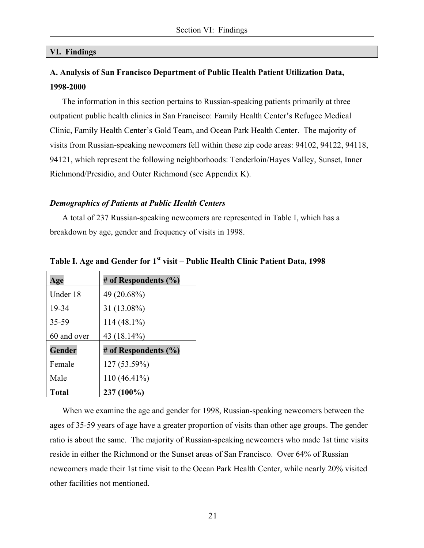#### **VI. Findings**

# **A. Analysis of San Francisco Department of Public Health Patient Utilization Data, 1998-2000**

 The information in this section pertains to Russian-speaking patients primarily at three outpatient public health clinics in San Francisco: Family Health Center's Refugee Medical Clinic, Family Health Center's Gold Team, and Ocean Park Health Center. The majority of visits from Russian-speaking newcomers fell within these zip code areas: 94102, 94122, 94118, 94121, which represent the following neighborhoods: Tenderloin/Hayes Valley, Sunset, Inner Richmond/Presidio, and Outer Richmond (see Appendix K).

#### *Demographics of Patients at Public Health Centers*

 A total of 237 Russian-speaking newcomers are represented in Table I, which has a breakdown by age, gender and frequency of visits in 1998.

| Age          | # of Respondents $(\% )$ |
|--------------|--------------------------|
| Under 18     | 49 (20.68%)              |
| 19-34        | 31 (13.08%)              |
| 35-59        | $114(48.1\%)$            |
| 60 and over  | 43 (18.14%)              |
| Gender       | # of Respondents $(\% )$ |
| Female       | 127 (53.59%)             |
| Male         | $110(46.41\%)$           |
| <b>Total</b> | 237 (100%)               |

Table I. Age and Gender for 1<sup>st</sup> visit – Public Health Clinic Patient Data, 1998

 When we examine the age and gender for 1998, Russian-speaking newcomers between the ages of 35-59 years of age have a greater proportion of visits than other age groups. The gender ratio is about the same. The majority of Russian-speaking newcomers who made 1st time visits reside in either the Richmond or the Sunset areas of San Francisco. Over 64% of Russian newcomers made their 1st time visit to the Ocean Park Health Center, while nearly 20% visited other facilities not mentioned.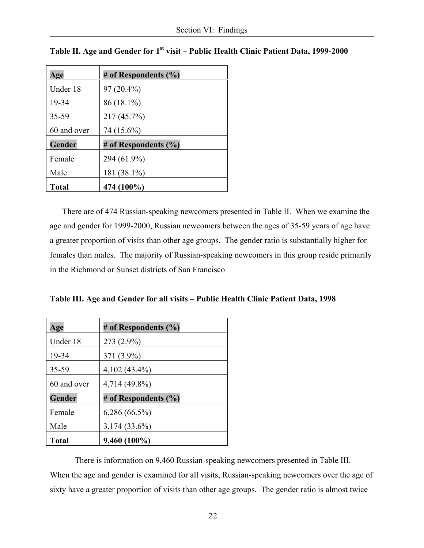| Age          | # of Respondents (%)     |
|--------------|--------------------------|
| Under 18     | 97 (20.4%)               |
| 19-34        | 86 (18.1%)               |
| 35-59        | 217 (45.7%)              |
| 60 and over  | 74 (15.6%)               |
| Gender       | # of Respondents $(\% )$ |
| Female       | 294 (61.9%)              |
| Male         | 181 (38.1%)              |
| <b>Total</b> | 474 (100%)               |

|  | Table II. Age and Gender for 1 <sup>st</sup> visit – Public Health Clinic Patient Data, 1999-2000 |  |  |  |
|--|---------------------------------------------------------------------------------------------------|--|--|--|
|--|---------------------------------------------------------------------------------------------------|--|--|--|

 There are of 474 Russian-speaking newcomers presented in Table II. When we examine the age and gender for 1999-2000, Russian newcomers between the ages of 35-59 years of age have a greater proportion of visits than other age groups. The gender ratio is substantially higher for females than males. The majority of Russian-speaking newcomers in this group reside primarily in the Richmond or Sunset districts of San Francisco

**Table III. Age and Gender for all visits – Public Health Clinic Patient Data, 1998** 

| Age          | # of Respondents $(\% )$ |
|--------------|--------------------------|
| Under 18     | 273 (2.9%)               |
| 19-34        | 371 (3.9%)               |
| 35-59        | $4,102(43.4\%)$          |
| 60 and over  | 4,714 (49.8%)            |
| Gender       | # of Respondents $(\% )$ |
| Female       | $6,286(66.5\%)$          |
| Male         | $3,174(33.6\%)$          |
| <b>Total</b> | $9,460(100\%)$           |

There is information on 9,460 Russian-speaking newcomers presented in Table III. When the age and gender is examined for all visits, Russian-speaking newcomers over the age of sixty have a greater proportion of visits than other age groups. The gender ratio is almost twice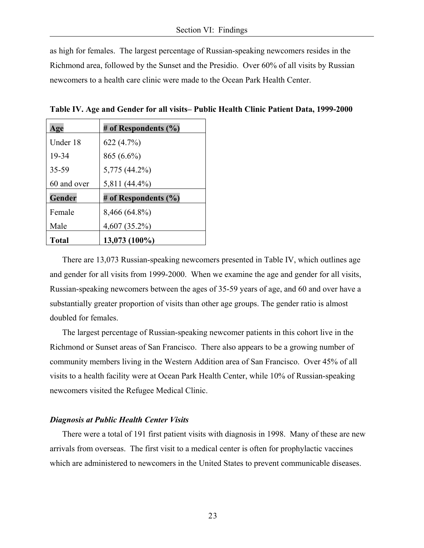as high for females. The largest percentage of Russian-speaking newcomers resides in the Richmond area, followed by the Sunset and the Presidio. Over 60% of all visits by Russian newcomers to a health care clinic were made to the Ocean Park Health Center.

**Table IV. Age and Gender for all visits– Public Health Clinic Patient Data, 1999-2000** 

| Age          | # of Respondents $(\% )$ |
|--------------|--------------------------|
| Under 18     | 622 (4.7%)               |
| 19-34        | 865 (6.6%)               |
| 35-59        | 5,775 (44.2%)            |
| 60 and over  | 5,811 (44.4%)            |
| Gender       | # of Respondents (%)     |
| Female       | 8,466 (64.8%)            |
| Male         | $4,607(35.2\%)$          |
| <b>Total</b> | 13,073 (100%)            |

There are 13,073 Russian-speaking newcomers presented in Table IV, which outlines age and gender for all visits from 1999-2000. When we examine the age and gender for all visits, Russian-speaking newcomers between the ages of 35-59 years of age, and 60 and over have a substantially greater proportion of visits than other age groups. The gender ratio is almost doubled for females.

 The largest percentage of Russian-speaking newcomer patients in this cohort live in the Richmond or Sunset areas of San Francisco. There also appears to be a growing number of community members living in the Western Addition area of San Francisco. Over 45% of all visits to a health facility were at Ocean Park Health Center, while 10% of Russian-speaking newcomers visited the Refugee Medical Clinic.

#### *Diagnosis at Public Health Center Visits*

 There were a total of 191 first patient visits with diagnosis in 1998. Many of these are new arrivals from overseas. The first visit to a medical center is often for prophylactic vaccines which are administered to newcomers in the United States to prevent communicable diseases.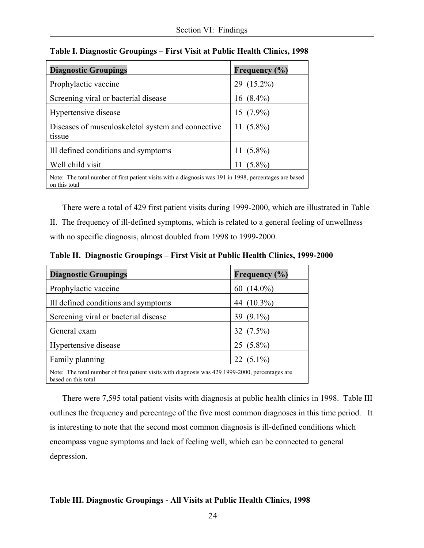| <b>Diagnostic Groupings</b>                                                                                             | Frequency (%)   |
|-------------------------------------------------------------------------------------------------------------------------|-----------------|
| Prophylactic vaccine                                                                                                    | 29 (15.2%)      |
| Screening viral or bacterial disease                                                                                    | 16 $(8.4\%)$    |
| Hypertensive disease                                                                                                    | 15 $(7.9\%)$    |
| Diseases of musculoskeletol system and connective<br>tissue                                                             | 11 $(5.8\%)$    |
| Ill defined conditions and symptoms                                                                                     | 11 $(5.8\%)$    |
| Well child visit                                                                                                        | $(5.8\%)$<br>11 |
| Note: The total number of first patient visits with a diagnosis was 191 in 1998, percentages are based<br>on this total |                 |

**Table I. Diagnostic Groupings – First Visit at Public Health Clinics, 1998** 

 There were a total of 429 first patient visits during 1999-2000, which are illustrated in Table II. The frequency of ill-defined symptoms, which is related to a general feeling of unwellness with no specific diagnosis, almost doubled from 1998 to 1999-2000.

**Table II. Diagnostic Groupings – First Visit at Public Health Clinics, 1999-2000** 

| <b>Diagnostic Groupings</b>                                                                                             | Frequency (%)    |  |
|-------------------------------------------------------------------------------------------------------------------------|------------------|--|
| Prophylactic vaccine                                                                                                    | 60 $(14.0\%)$    |  |
| Ill defined conditions and symptoms                                                                                     | $(10.3\%)$<br>44 |  |
| Screening viral or bacterial disease                                                                                    | 39 $(9.1\%)$     |  |
| General exam                                                                                                            | 32 $(7.5\%)$     |  |
| Hypertensive disease                                                                                                    | $25(5.8\%)$      |  |
| Family planning                                                                                                         | $(5.1\%)$<br>22  |  |
| Note: The total number of first patient visits with diagnosis was 429 1999-2000, percentages are<br>based on this total |                  |  |

 There were 7,595 total patient visits with diagnosis at public health clinics in 1998. Table III outlines the frequency and percentage of the five most common diagnoses in this time period. It is interesting to note that the second most common diagnosis is ill-defined conditions which encompass vague symptoms and lack of feeling well, which can be connected to general depression.

## **Table III. Diagnostic Groupings - All Visits at Public Health Clinics, 1998**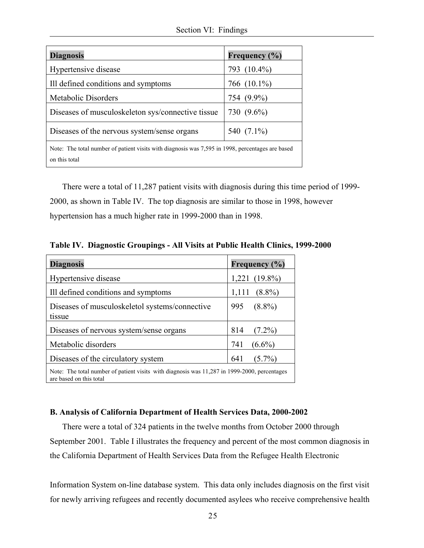| <b>Diagnosis</b>                                                                                                  | Frequency (%) |  |
|-------------------------------------------------------------------------------------------------------------------|---------------|--|
| Hypertensive disease                                                                                              | 793 (10.4%)   |  |
| Ill defined conditions and symptoms                                                                               | 766 (10.1%)   |  |
| Metabolic Disorders                                                                                               | 754 (9.9%)    |  |
| Diseases of musculoskeleton sys/connective tissue                                                                 | 730 (9.6%)    |  |
| Diseases of the nervous system/sense organs                                                                       | 540 (7.1%)    |  |
| Note: The total number of patient visits with diagnosis was 7,595 in 1998, percentages are based<br>on this total |               |  |

 There were a total of 11,287 patient visits with diagnosis during this time period of 1999- 2000, as shown in Table IV. The top diagnosis are similar to those in 1998, however hypertension has a much higher rate in 1999-2000 than in 1998.

**Table IV. Diagnostic Groupings - All Visits at Public Health Clinics, 1999-2000** 

| <b>Diagnosis</b>                                                                                                        | Frequency (%)      |  |
|-------------------------------------------------------------------------------------------------------------------------|--------------------|--|
| Hypertensive disease                                                                                                    | $1,221$ $(19.8\%)$ |  |
| Ill defined conditions and symptoms                                                                                     | $(8.8\%)$<br>1,111 |  |
| Diseases of musculoskeletol systems/connective<br>tissue                                                                | $(8.8\%)$<br>995   |  |
| Diseases of nervous system/sense organs                                                                                 | 814<br>$(7.2\%)$   |  |
| Metabolic disorders                                                                                                     | 741<br>$(6.6\%)$   |  |
| Diseases of the circulatory system                                                                                      | $(5.7\%)$<br>641   |  |
| Note: The total number of patient visits with diagnosis was 11,287 in 1999-2000, percentages<br>are based on this total |                    |  |

# **B. Analysis of California Department of Health Services Data, 2000-2002**

 There were a total of 324 patients in the twelve months from October 2000 through September 2001. Table I illustrates the frequency and percent of the most common diagnosis in the California Department of Health Services Data from the Refugee Health Electronic

Information System on-line database system. This data only includes diagnosis on the first visit for newly arriving refugees and recently documented asylees who receive comprehensive health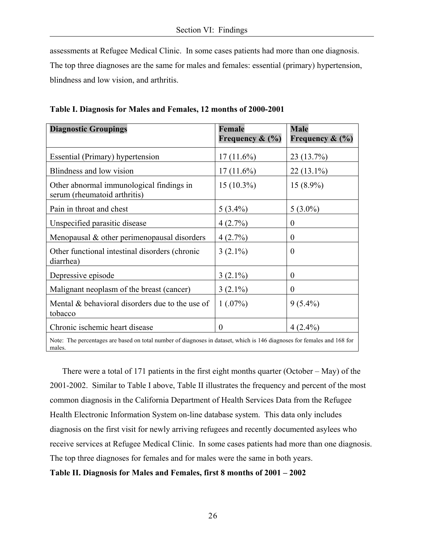assessments at Refugee Medical Clinic. In some cases patients had more than one diagnosis. The top three diagnoses are the same for males and females: essential (primary) hypertension, blindness and low vision, and arthritis.

| <b>Diagnostic Groupings</b>                                                                                                       | Female             | <b>Male</b>        |  |
|-----------------------------------------------------------------------------------------------------------------------------------|--------------------|--------------------|--|
|                                                                                                                                   | Frequency $\&$ (%) | Frequency $\&$ (%) |  |
| Essential (Primary) hypertension                                                                                                  | $17(11.6\%)$       | 23 (13.7%)         |  |
| Blindness and low vision                                                                                                          | $17(11.6\%)$       | $22(13.1\%)$       |  |
| Other abnormal immunological findings in<br>serum (rheumatoid arthritis)                                                          | $15(10.3\%)$       | $15(8.9\%)$        |  |
| Pain in throat and chest                                                                                                          | $5(3.4\%)$         | $5(3.0\%)$         |  |
| Unspecified parasitic disease                                                                                                     | 4(2.7%)            | $\theta$           |  |
| Menopausal $\&$ other perimenopausal disorders                                                                                    | 4(2.7%)            | $\theta$           |  |
| Other functional intestinal disorders (chronic<br>diarrhea)                                                                       | $3(2.1\%)$         | $\theta$           |  |
| Depressive episode                                                                                                                | $3(2.1\%)$         | $\theta$           |  |
| Malignant neoplasm of the breast (cancer)                                                                                         | $3(2.1\%)$         | $\theta$           |  |
| Mental & behavioral disorders due to the use of<br>tobacco                                                                        | 1(.07%)            | $9(5.4\%)$         |  |
| Chronic ischemic heart disease                                                                                                    | $\theta$           | $4(2.4\%)$         |  |
| Note: The percentages are based on total number of diagnoses in dataset, which is 146 diagnoses for females and 168 for<br>males. |                    |                    |  |

**Table I. Diagnosis for Males and Females, 12 months of 2000-2001** 

 There were a total of 171 patients in the first eight months quarter (October – May) of the 2001-2002. Similar to Table I above, Table II illustrates the frequency and percent of the most common diagnosis in the California Department of Health Services Data from the Refugee Health Electronic Information System on-line database system. This data only includes diagnosis on the first visit for newly arriving refugees and recently documented asylees who receive services at Refugee Medical Clinic. In some cases patients had more than one diagnosis. The top three diagnoses for females and for males were the same in both years.

## **Table II. Diagnosis for Males and Females, first 8 months of 2001 – 2002**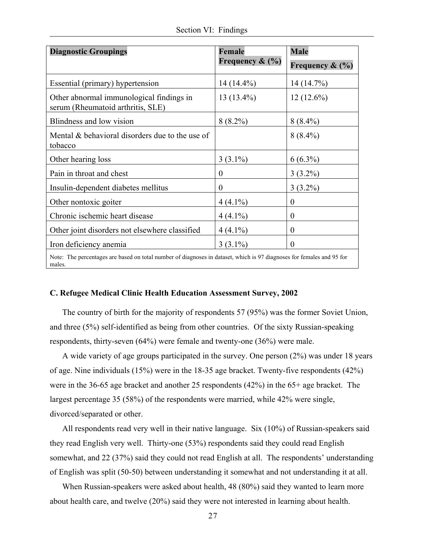|  |  | Section VI: Findings |
|--|--|----------------------|
|--|--|----------------------|

| <b>Diagnostic Groupings</b>                                                                                                     | <b>Female</b>      | <b>Male</b>        |  |
|---------------------------------------------------------------------------------------------------------------------------------|--------------------|--------------------|--|
|                                                                                                                                 | Frequency $\&$ (%) | Frequency $\&$ (%) |  |
| Essential (primary) hypertension                                                                                                | $14(14.4\%)$       | 14 (14.7%)         |  |
| Other abnormal immunological findings in<br>serum (Rheumatoid arthritis, SLE)                                                   | $13(13.4\%)$       | $12(12.6\%)$       |  |
| Blindness and low vision                                                                                                        | $8(8.2\%)$         | $8(8.4\%)$         |  |
| Mental & behavioral disorders due to the use of<br>tobacco                                                                      |                    | $8(8.4\%)$         |  |
| Other hearing loss                                                                                                              | $3(3.1\%)$         | $6(6.3\%)$         |  |
| Pain in throat and chest                                                                                                        | $\theta$           | $3(3.2\%)$         |  |
| Insulin-dependent diabetes mellitus                                                                                             | $\theta$           | $3(3.2\%)$         |  |
| Other nontoxic goiter                                                                                                           | $4(4.1\%)$         | $\overline{0}$     |  |
| Chronic ischemic heart disease                                                                                                  | $4(4.1\%)$         | $\theta$           |  |
| Other joint disorders not elsewhere classified                                                                                  | $4(4.1\%)$         | $\theta$           |  |
| Iron deficiency anemia                                                                                                          | $3(3.1\%)$         | $\Omega$           |  |
| Note: The percentages are based on total number of diagnoses in dataset, which is 97 diagnoses for females and 95 for<br>males. |                    |                    |  |

#### **C. Refugee Medical Clinic Health Education Assessment Survey, 2002**

 The country of birth for the majority of respondents 57 (95%) was the former Soviet Union, and three (5%) self-identified as being from other countries. Of the sixty Russian-speaking respondents, thirty-seven (64%) were female and twenty-one (36%) were male.

 A wide variety of age groups participated in the survey. One person (2%) was under 18 years of age. Nine individuals (15%) were in the 18-35 age bracket. Twenty-five respondents (42%) were in the 36-65 age bracket and another 25 respondents (42%) in the 65+ age bracket. The largest percentage 35 (58%) of the respondents were married, while 42% were single, divorced/separated or other.

 All respondents read very well in their native language. Six (10%) of Russian-speakers said they read English very well. Thirty-one (53%) respondents said they could read English somewhat, and 22 (37%) said they could not read English at all. The respondents' understanding of English was split (50-50) between understanding it somewhat and not understanding it at all.

 When Russian-speakers were asked about health, 48 (80%) said they wanted to learn more about health care, and twelve (20%) said they were not interested in learning about health.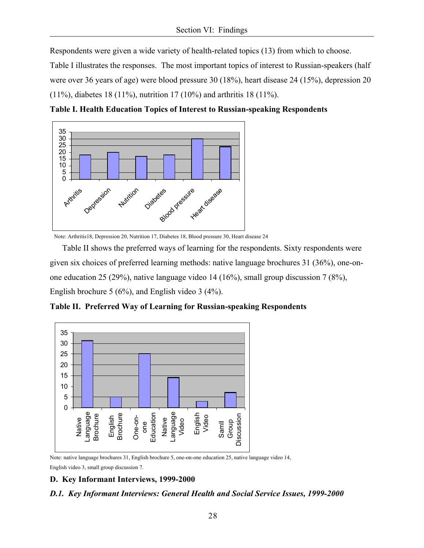Respondents were given a wide variety of health-related topics (13) from which to choose.

Table I illustrates the responses. The most important topics of interest to Russian-speakers (half were over 36 years of age) were blood pressure 30 (18%), heart disease 24 (15%), depression 20 (11%), diabetes 18 (11%), nutrition 17 (10%) and arthritis 18 (11%).

**Table I. Health Education Topics of Interest to Russian-speaking Respondents** 



Note: Arthritis18, Depression 20, Nutrition 17, Diabetes 18, Blood pressure 30, Heart disease 24

 Table II shows the preferred ways of learning for the respondents. Sixty respondents were given six choices of preferred learning methods: native language brochures 31 (36%), one-onone education 25 (29%), native language video 14 (16%), small group discussion 7 (8%), English brochure 5 (6%), and English video 3 (4%).

**Table II. Preferred Way of Learning for Russian-speaking Respondents** 



Note: native language brochures 31, English brochure 5, one-on-one education 25, native language video 14, English video 3, small group discussion 7.

# **D. Key Informant Interviews, 1999-2000**

# *D.1. Key Informant Interviews: General Health and Social Service Issues, 1999-2000*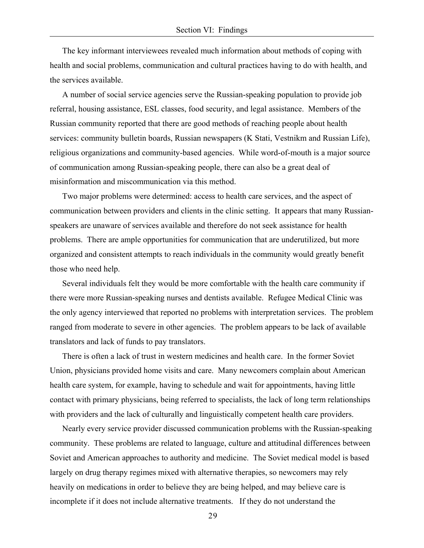The key informant interviewees revealed much information about methods of coping with health and social problems, communication and cultural practices having to do with health, and the services available.

 A number of social service agencies serve the Russian-speaking population to provide job referral, housing assistance, ESL classes, food security, and legal assistance. Members of the Russian community reported that there are good methods of reaching people about health services: community bulletin boards, Russian newspapers (K Stati, Vestnikm and Russian Life), religious organizations and community-based agencies. While word-of-mouth is a major source of communication among Russian-speaking people, there can also be a great deal of misinformation and miscommunication via this method.

 Two major problems were determined: access to health care services, and the aspect of communication between providers and clients in the clinic setting. It appears that many Russianspeakers are unaware of services available and therefore do not seek assistance for health problems. There are ample opportunities for communication that are underutilized, but more organized and consistent attempts to reach individuals in the community would greatly benefit those who need help.

 Several individuals felt they would be more comfortable with the health care community if there were more Russian-speaking nurses and dentists available. Refugee Medical Clinic was the only agency interviewed that reported no problems with interpretation services. The problem ranged from moderate to severe in other agencies. The problem appears to be lack of available translators and lack of funds to pay translators.

 There is often a lack of trust in western medicines and health care. In the former Soviet Union, physicians provided home visits and care. Many newcomers complain about American health care system, for example, having to schedule and wait for appointments, having little contact with primary physicians, being referred to specialists, the lack of long term relationships with providers and the lack of culturally and linguistically competent health care providers.

 Nearly every service provider discussed communication problems with the Russian-speaking community. These problems are related to language, culture and attitudinal differences between Soviet and American approaches to authority and medicine. The Soviet medical model is based largely on drug therapy regimes mixed with alternative therapies, so newcomers may rely heavily on medications in order to believe they are being helped, and may believe care is incomplete if it does not include alternative treatments. If they do not understand the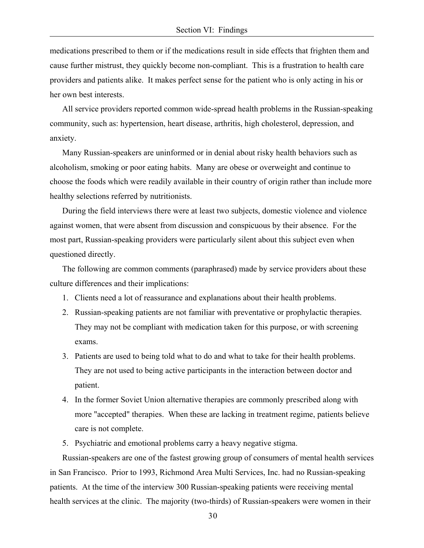medications prescribed to them or if the medications result in side effects that frighten them and cause further mistrust, they quickly become non-compliant. This is a frustration to health care providers and patients alike. It makes perfect sense for the patient who is only acting in his or her own best interests.

 All service providers reported common wide-spread health problems in the Russian-speaking community, such as: hypertension, heart disease, arthritis, high cholesterol, depression, and anxiety.

 Many Russian-speakers are uninformed or in denial about risky health behaviors such as alcoholism, smoking or poor eating habits. Many are obese or overweight and continue to choose the foods which were readily available in their country of origin rather than include more healthy selections referred by nutritionists.

 During the field interviews there were at least two subjects, domestic violence and violence against women, that were absent from discussion and conspicuous by their absence. For the most part, Russian-speaking providers were particularly silent about this subject even when questioned directly.

 The following are common comments (paraphrased) made by service providers about these culture differences and their implications:

- 1. Clients need a lot of reassurance and explanations about their health problems.
- 2. Russian-speaking patients are not familiar with preventative or prophylactic therapies. They may not be compliant with medication taken for this purpose, or with screening exams.
- 3. Patients are used to being told what to do and what to take for their health problems. They are not used to being active participants in the interaction between doctor and patient.
- 4. In the former Soviet Union alternative therapies are commonly prescribed along with more "accepted" therapies. When these are lacking in treatment regime, patients believe care is not complete.

5. Psychiatric and emotional problems carry a heavy negative stigma.

 Russian-speakers are one of the fastest growing group of consumers of mental health services in San Francisco. Prior to 1993, Richmond Area Multi Services, Inc. had no Russian-speaking patients. At the time of the interview 300 Russian-speaking patients were receiving mental health services at the clinic. The majority (two-thirds) of Russian-speakers were women in their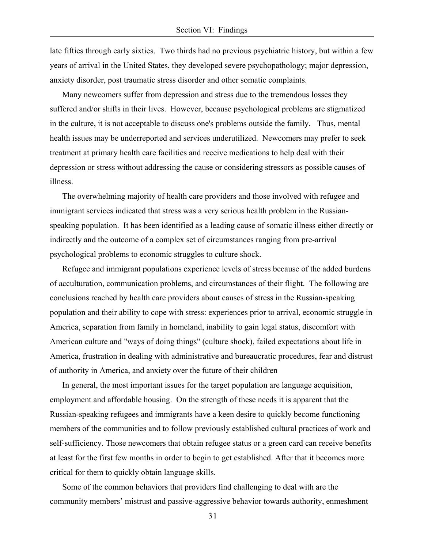late fifties through early sixties. Two thirds had no previous psychiatric history, but within a few years of arrival in the United States, they developed severe psychopathology; major depression, anxiety disorder, post traumatic stress disorder and other somatic complaints.

 Many newcomers suffer from depression and stress due to the tremendous losses they suffered and/or shifts in their lives. However, because psychological problems are stigmatized in the culture, it is not acceptable to discuss one's problems outside the family. Thus, mental health issues may be underreported and services underutilized. Newcomers may prefer to seek treatment at primary health care facilities and receive medications to help deal with their depression or stress without addressing the cause or considering stressors as possible causes of illness.

 The overwhelming majority of health care providers and those involved with refugee and immigrant services indicated that stress was a very serious health problem in the Russianspeaking population. It has been identified as a leading cause of somatic illness either directly or indirectly and the outcome of a complex set of circumstances ranging from pre-arrival psychological problems to economic struggles to culture shock.

 Refugee and immigrant populations experience levels of stress because of the added burdens of acculturation, communication problems, and circumstances of their flight. The following are conclusions reached by health care providers about causes of stress in the Russian-speaking population and their ability to cope with stress: experiences prior to arrival, economic struggle in America, separation from family in homeland, inability to gain legal status, discomfort with American culture and "ways of doing things" (culture shock), failed expectations about life in America, frustration in dealing with administrative and bureaucratic procedures, fear and distrust of authority in America, and anxiety over the future of their children

 In general, the most important issues for the target population are language acquisition, employment and affordable housing. On the strength of these needs it is apparent that the Russian-speaking refugees and immigrants have a keen desire to quickly become functioning members of the communities and to follow previously established cultural practices of work and self-sufficiency. Those newcomers that obtain refugee status or a green card can receive benefits at least for the first few months in order to begin to get established. After that it becomes more critical for them to quickly obtain language skills.

 Some of the common behaviors that providers find challenging to deal with are the community members' mistrust and passive-aggressive behavior towards authority, enmeshment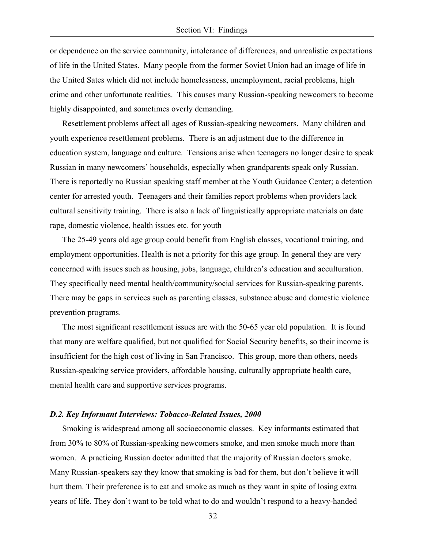or dependence on the service community, intolerance of differences, and unrealistic expectations of life in the United States. Many people from the former Soviet Union had an image of life in the United Sates which did not include homelessness, unemployment, racial problems, high crime and other unfortunate realities. This causes many Russian-speaking newcomers to become highly disappointed, and sometimes overly demanding.

 Resettlement problems affect all ages of Russian-speaking newcomers. Many children and youth experience resettlement problems. There is an adjustment due to the difference in education system, language and culture. Tensions arise when teenagers no longer desire to speak Russian in many newcomers' households, especially when grandparents speak only Russian. There is reportedly no Russian speaking staff member at the Youth Guidance Center; a detention center for arrested youth. Teenagers and their families report problems when providers lack cultural sensitivity training. There is also a lack of linguistically appropriate materials on date rape, domestic violence, health issues etc. for youth

 The 25-49 years old age group could benefit from English classes, vocational training, and employment opportunities. Health is not a priority for this age group. In general they are very concerned with issues such as housing, jobs, language, children's education and acculturation. They specifically need mental health/community/social services for Russian-speaking parents. There may be gaps in services such as parenting classes, substance abuse and domestic violence prevention programs.

 The most significant resettlement issues are with the 50-65 year old population. It is found that many are welfare qualified, but not qualified for Social Security benefits, so their income is insufficient for the high cost of living in San Francisco. This group, more than others, needs Russian-speaking service providers, affordable housing, culturally appropriate health care, mental health care and supportive services programs.

#### *D.2. Key Informant Interviews: Tobacco-Related Issues, 2000*

 Smoking is widespread among all socioeconomic classes. Key informants estimated that from 30% to 80% of Russian-speaking newcomers smoke, and men smoke much more than women. A practicing Russian doctor admitted that the majority of Russian doctors smoke. Many Russian-speakers say they know that smoking is bad for them, but don't believe it will hurt them. Their preference is to eat and smoke as much as they want in spite of losing extra years of life. They don't want to be told what to do and wouldn't respond to a heavy-handed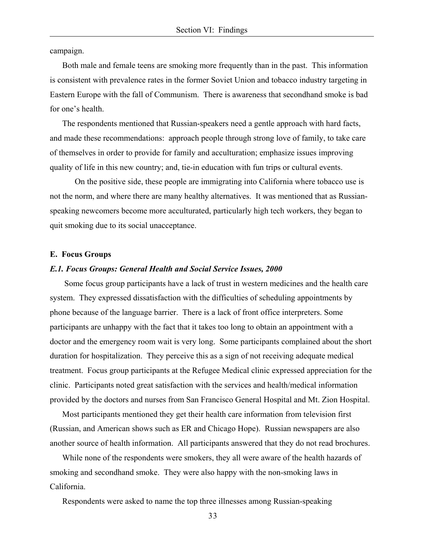campaign.

Both male and female teens are smoking more frequently than in the past. This information is consistent with prevalence rates in the former Soviet Union and tobacco industry targeting in Eastern Europe with the fall of Communism. There is awareness that secondhand smoke is bad for one's health.

 The respondents mentioned that Russian-speakers need a gentle approach with hard facts, and made these recommendations: approach people through strong love of family, to take care of themselves in order to provide for family and acculturation; emphasize issues improving quality of life in this new country; and, tie-in education with fun trips or cultural events.

On the positive side, these people are immigrating into California where tobacco use is not the norm, and where there are many healthy alternatives. It was mentioned that as Russianspeaking newcomers become more acculturated, particularly high tech workers, they began to quit smoking due to its social unacceptance.

#### **E. Focus Groups**

#### *E.1. Focus Groups: General Health and Social Service Issues, 2000*

 Some focus group participants have a lack of trust in western medicines and the health care system. They expressed dissatisfaction with the difficulties of scheduling appointments by phone because of the language barrier. There is a lack of front office interpreters. Some participants are unhappy with the fact that it takes too long to obtain an appointment with a doctor and the emergency room wait is very long. Some participants complained about the short duration for hospitalization. They perceive this as a sign of not receiving adequate medical treatment. Focus group participants at the Refugee Medical clinic expressed appreciation for the clinic. Participants noted great satisfaction with the services and health/medical information provided by the doctors and nurses from San Francisco General Hospital and Mt. Zion Hospital.

 Most participants mentioned they get their health care information from television first (Russian, and American shows such as ER and Chicago Hope). Russian newspapers are also another source of health information. All participants answered that they do not read brochures.

 While none of the respondents were smokers, they all were aware of the health hazards of smoking and secondhand smoke. They were also happy with the non-smoking laws in California.

Respondents were asked to name the top three illnesses among Russian-speaking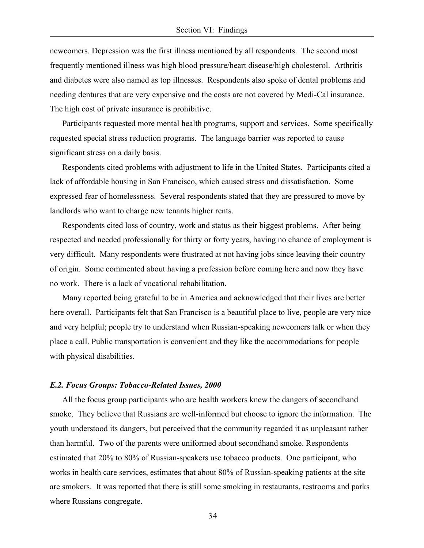newcomers. Depression was the first illness mentioned by all respondents. The second most frequently mentioned illness was high blood pressure/heart disease/high cholesterol. Arthritis and diabetes were also named as top illnesses. Respondents also spoke of dental problems and needing dentures that are very expensive and the costs are not covered by Medi-Cal insurance. The high cost of private insurance is prohibitive.

 Participants requested more mental health programs, support and services. Some specifically requested special stress reduction programs. The language barrier was reported to cause significant stress on a daily basis.

 Respondents cited problems with adjustment to life in the United States. Participants cited a lack of affordable housing in San Francisco, which caused stress and dissatisfaction. Some expressed fear of homelessness. Several respondents stated that they are pressured to move by landlords who want to charge new tenants higher rents.

 Respondents cited loss of country, work and status as their biggest problems. After being respected and needed professionally for thirty or forty years, having no chance of employment is very difficult. Many respondents were frustrated at not having jobs since leaving their country of origin. Some commented about having a profession before coming here and now they have no work. There is a lack of vocational rehabilitation.

 Many reported being grateful to be in America and acknowledged that their lives are better here overall. Participants felt that San Francisco is a beautiful place to live, people are very nice and very helpful; people try to understand when Russian-speaking newcomers talk or when they place a call. Public transportation is convenient and they like the accommodations for people with physical disabilities.

#### *E.2. Focus Groups: Tobacco-Related Issues, 2000*

 All the focus group participants who are health workers knew the dangers of secondhand smoke. They believe that Russians are well-informed but choose to ignore the information. The youth understood its dangers, but perceived that the community regarded it as unpleasant rather than harmful. Two of the parents were uniformed about secondhand smoke. Respondents estimated that 20% to 80% of Russian-speakers use tobacco products. One participant, who works in health care services, estimates that about 80% of Russian-speaking patients at the site are smokers. It was reported that there is still some smoking in restaurants, restrooms and parks where Russians congregate.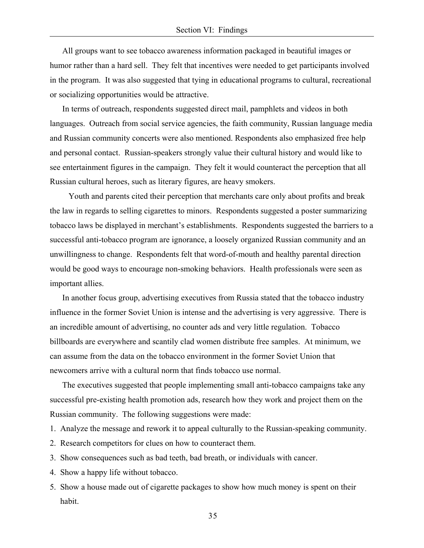All groups want to see tobacco awareness information packaged in beautiful images or humor rather than a hard sell. They felt that incentives were needed to get participants involved in the program. It was also suggested that tying in educational programs to cultural, recreational or socializing opportunities would be attractive.

 In terms of outreach, respondents suggested direct mail, pamphlets and videos in both languages. Outreach from social service agencies, the faith community, Russian language media and Russian community concerts were also mentioned. Respondents also emphasized free help and personal contact. Russian-speakers strongly value their cultural history and would like to see entertainment figures in the campaign. They felt it would counteract the perception that all Russian cultural heroes, such as literary figures, are heavy smokers.

 Youth and parents cited their perception that merchants care only about profits and break the law in regards to selling cigarettes to minors. Respondents suggested a poster summarizing tobacco laws be displayed in merchant's establishments. Respondents suggested the barriers to a successful anti-tobacco program are ignorance, a loosely organized Russian community and an unwillingness to change. Respondents felt that word-of-mouth and healthy parental direction would be good ways to encourage non-smoking behaviors. Health professionals were seen as important allies.

 In another focus group, advertising executives from Russia stated that the tobacco industry influence in the former Soviet Union is intense and the advertising is very aggressive. There is an incredible amount of advertising, no counter ads and very little regulation. Tobacco billboards are everywhere and scantily clad women distribute free samples. At minimum, we can assume from the data on the tobacco environment in the former Soviet Union that newcomers arrive with a cultural norm that finds tobacco use normal.

 The executives suggested that people implementing small anti-tobacco campaigns take any successful pre-existing health promotion ads, research how they work and project them on the Russian community. The following suggestions were made:

1. Analyze the message and rework it to appeal culturally to the Russian-speaking community.

- 2. Research competitors for clues on how to counteract them.
- 3. Show consequences such as bad teeth, bad breath, or individuals with cancer.
- 4. Show a happy life without tobacco.
- 5. Show a house made out of cigarette packages to show how much money is spent on their habit.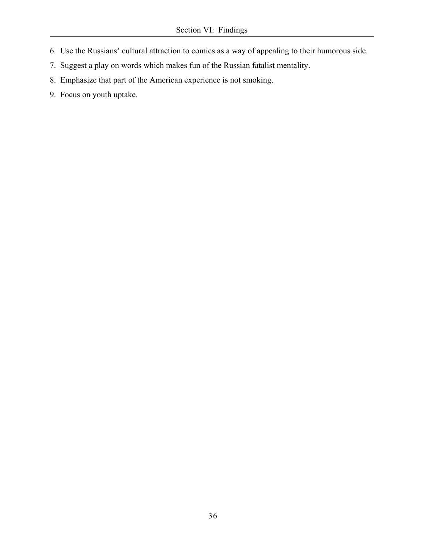- 6. Use the Russians' cultural attraction to comics as a way of appealing to their humorous side.
- 7. Suggest a play on words which makes fun of the Russian fatalist mentality.
- 8. Emphasize that part of the American experience is not smoking.
- 9. Focus on youth uptake.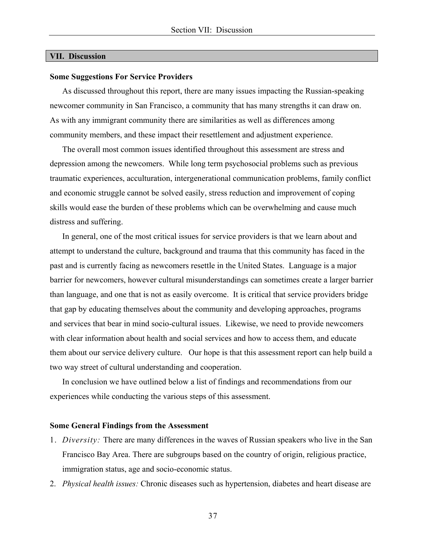#### **VII. Discussion**

#### **Some Suggestions For Service Providers**

 As discussed throughout this report, there are many issues impacting the Russian-speaking newcomer community in San Francisco, a community that has many strengths it can draw on. As with any immigrant community there are similarities as well as differences among community members, and these impact their resettlement and adjustment experience.

 The overall most common issues identified throughout this assessment are stress and depression among the newcomers. While long term psychosocial problems such as previous traumatic experiences, acculturation, intergenerational communication problems, family conflict and economic struggle cannot be solved easily, stress reduction and improvement of coping skills would ease the burden of these problems which can be overwhelming and cause much distress and suffering.

 In general, one of the most critical issues for service providers is that we learn about and attempt to understand the culture, background and trauma that this community has faced in the past and is currently facing as newcomers resettle in the United States. Language is a major barrier for newcomers, however cultural misunderstandings can sometimes create a larger barrier than language, and one that is not as easily overcome. It is critical that service providers bridge that gap by educating themselves about the community and developing approaches, programs and services that bear in mind socio-cultural issues. Likewise, we need to provide newcomers with clear information about health and social services and how to access them, and educate them about our service delivery culture. Our hope is that this assessment report can help build a two way street of cultural understanding and cooperation.

 In conclusion we have outlined below a list of findings and recommendations from our experiences while conducting the various steps of this assessment.

#### **Some General Findings from the Assessment**

- 1. *Diversity:* There are many differences in the waves of Russian speakers who live in the San Francisco Bay Area. There are subgroups based on the country of origin, religious practice, immigration status, age and socio-economic status.
- 2. *Physical health issues:* Chronic diseases such as hypertension, diabetes and heart disease are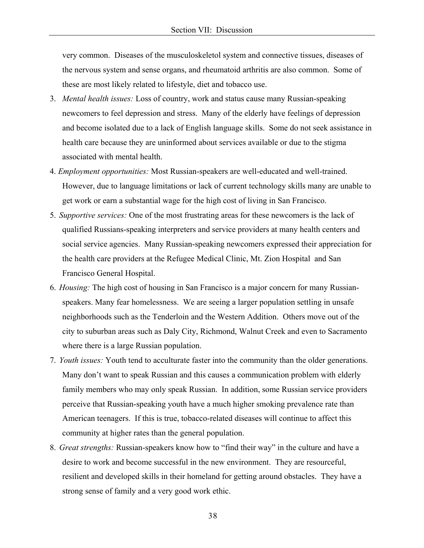very common. Diseases of the musculoskeletol system and connective tissues, diseases of the nervous system and sense organs, and rheumatoid arthritis are also common. Some of these are most likely related to lifestyle, diet and tobacco use.

- 3. *Mental health issues:* Loss of country, work and status cause many Russian-speaking newcomers to feel depression and stress. Many of the elderly have feelings of depression and become isolated due to a lack of English language skills. Some do not seek assistance in health care because they are uninformed about services available or due to the stigma associated with mental health.
- 4. *Employment opportunities:* Most Russian-speakers are well-educated and well-trained. However, due to language limitations or lack of current technology skills many are unable to get work or earn a substantial wage for the high cost of living in San Francisco.
- 5. *Supportive services:* One of the most frustrating areas for these newcomers is the lack of qualified Russians-speaking interpreters and service providers at many health centers and social service agencies. Many Russian-speaking newcomers expressed their appreciation for the health care providers at the Refugee Medical Clinic, Mt. Zion Hospital and San Francisco General Hospital.
- 6. *Housing:* The high cost of housing in San Francisco is a major concern for many Russianspeakers. Many fear homelessness. We are seeing a larger population settling in unsafe neighborhoods such as the Tenderloin and the Western Addition. Others move out of the city to suburban areas such as Daly City, Richmond, Walnut Creek and even to Sacramento where there is a large Russian population.
- 7. *Youth issues:* Youth tend to acculturate faster into the community than the older generations. Many don't want to speak Russian and this causes a communication problem with elderly family members who may only speak Russian. In addition, some Russian service providers perceive that Russian-speaking youth have a much higher smoking prevalence rate than American teenagers. If this is true, tobacco-related diseases will continue to affect this community at higher rates than the general population.
- 8. *Great strengths:* Russian-speakers know how to "find their way" in the culture and have a desire to work and become successful in the new environment. They are resourceful, resilient and developed skills in their homeland for getting around obstacles. They have a strong sense of family and a very good work ethic.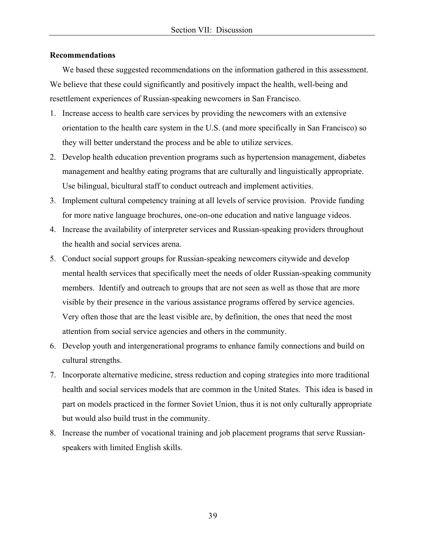## **Recommendations**

 We based these suggested recommendations on the information gathered in this assessment. We believe that these could significantly and positively impact the health, well-being and resettlement experiences of Russian-speaking newcomers in San Francisco.

- 1. Increase access to health care services by providing the newcomers with an extensive orientation to the health care system in the U.S. (and more specifically in San Francisco) so they will better understand the process and be able to utilize services.
- 2. Develop health education prevention programs such as hypertension management, diabetes management and healthy eating programs that are culturally and linguistically appropriate. Use bilingual, bicultural staff to conduct outreach and implement activities.
- 3. Implement cultural competency training at all levels of service provision. Provide funding for more native language brochures, one-on-one education and native language videos.
- 4. Increase the availability of interpreter services and Russian-speaking providers throughout the health and social services arena.
- 5. Conduct social support groups for Russian-speaking newcomers citywide and develop mental health services that specifically meet the needs of older Russian-speaking community members. Identify and outreach to groups that are not seen as well as those that are more visible by their presence in the various assistance programs offered by service agencies. Very often those that are the least visible are, by definition, the ones that need the most attention from social service agencies and others in the community.
- 6. Develop youth and intergenerational programs to enhance family connections and build on cultural strengths.
- 7. Incorporate alternative medicine, stress reduction and coping strategies into more traditional health and social services models that are common in the United States. This idea is based in part on models practiced in the former Soviet Union, thus it is not only culturally appropriate but would also build trust in the community.
- 8. Increase the number of vocational training and job placement programs that serve Russianspeakers with limited English skills.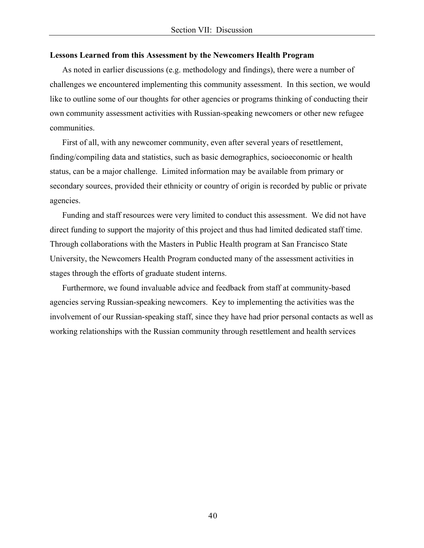#### **Lessons Learned from this Assessment by the Newcomers Health Program**

 As noted in earlier discussions (e.g. methodology and findings), there were a number of challenges we encountered implementing this community assessment. In this section, we would like to outline some of our thoughts for other agencies or programs thinking of conducting their own community assessment activities with Russian-speaking newcomers or other new refugee communities.

 First of all, with any newcomer community, even after several years of resettlement, finding/compiling data and statistics, such as basic demographics, socioeconomic or health status, can be a major challenge. Limited information may be available from primary or secondary sources, provided their ethnicity or country of origin is recorded by public or private agencies.

 Funding and staff resources were very limited to conduct this assessment. We did not have direct funding to support the majority of this project and thus had limited dedicated staff time. Through collaborations with the Masters in Public Health program at San Francisco State University, the Newcomers Health Program conducted many of the assessment activities in stages through the efforts of graduate student interns.

 Furthermore, we found invaluable advice and feedback from staff at community-based agencies serving Russian-speaking newcomers. Key to implementing the activities was the involvement of our Russian-speaking staff, since they have had prior personal contacts as well as working relationships with the Russian community through resettlement and health services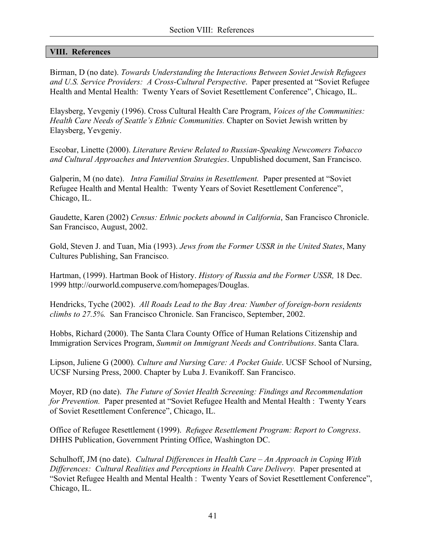## **VIII. References**

Birman, D (no date). *Towards Understanding the Interactions Between Soviet Jewish Refugees and U.S. Service Providers: A Cross-Cultural Perspective*. Paper presented at "Soviet Refugee Health and Mental Health: Twenty Years of Soviet Resettlement Conference", Chicago, IL.

Elaysberg, Yevgeniy (1996). Cross Cultural Health Care Program, *Voices of the Communities: Health Care Needs of Seattle's Ethnic Communities.* Chapter on Soviet Jewish written by Elaysberg, Yevgeniy.

Escobar, Linette (2000). *Literature Review Related to Russian-Speaking Newcomers Tobacco and Cultural Approaches and Intervention Strategies*. Unpublished document, San Francisco.

Galperin, M (no date). *Intra Familial Strains in Resettlement.* Paper presented at "Soviet Refugee Health and Mental Health: Twenty Years of Soviet Resettlement Conference", Chicago, IL.

Gaudette, Karen (2002) *Census: Ethnic pockets abound in California*, San Francisco Chronicle. San Francisco, August, 2002.

Gold, Steven J. and Tuan, Mia (1993). *Jews from the Former USSR in the United States*, Many Cultures Publishing, San Francisco.

Hartman, (1999). Hartman Book of History. *History of Russia and the Former USSR,* 18 Dec. 1999 http://ourworld.compuserve.com/homepages/Douglas.

Hendricks, Tyche (2002). *All Roads Lead to the Bay Area: Number of foreign-born residents climbs to 27.5%.* San Francisco Chronicle. San Francisco, September, 2002.

Hobbs, Richard (2000). The Santa Clara County Office of Human Relations Citizenship and Immigration Services Program, *Summit on Immigrant Needs and Contributions*. Santa Clara.

Lipson, Juliene G (2000)*. Culture and Nursing Care: A Pocket Guide*. UCSF School of Nursing, UCSF Nursing Press, 2000. Chapter by Luba J. Evanikoff. San Francisco.

Moyer, RD (no date). *The Future of Soviet Health Screening: Findings and Recommendation for Prevention.* Paper presented at "Soviet Refugee Health and Mental Health : Twenty Years of Soviet Resettlement Conference", Chicago, IL.

Office of Refugee Resettlement (1999). *Refugee Resettlement Program: Report to Congress*. DHHS Publication, Government Printing Office, Washington DC.

Schulhoff, JM (no date). *Cultural Differences in Health Care – An Approach in Coping With Differences: Cultural Realities and Perceptions in Health Care Delivery.* Paper presented at "Soviet Refugee Health and Mental Health : Twenty Years of Soviet Resettlement Conference", Chicago, IL.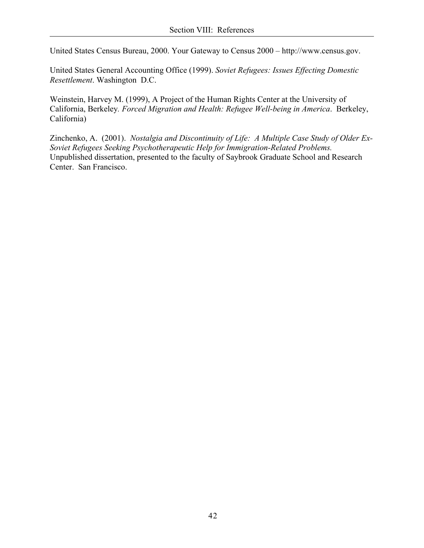United States Census Bureau, 2000. Your Gateway to Census 2000 – http://www.census.gov.

United States General Accounting Office (1999). *Soviet Refugees: Issues Effecting Domestic Resettlement*. Washington D.C.

Weinstein, Harvey M. (1999), A Project of the Human Rights Center at the University of California, Berkeley*. Forced Migration and Health: Refugee Well-being in America*. Berkeley, California)

Zinchenko, A. (2001). *Nostalgia and Discontinuity of Life: A Multiple Case Study of Older Ex-Soviet Refugees Seeking Psychotherapeutic Help for Immigration-Related Problems.*  Unpublished dissertation, presented to the faculty of Saybrook Graduate School and Research Center. San Francisco.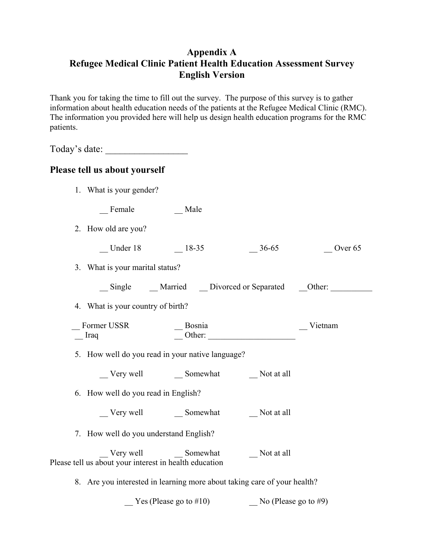# **Appendix A Refugee Medical Clinic Patient Health Education Assessment Survey English Version**

Thank you for taking the time to fill out the survey. The purpose of this survey is to gather information about health education needs of the patients at the Refugee Medical Clinic (RMC). The information you provided here will help us design health education programs for the RMC patients.

Today's date: \_\_\_\_\_\_\_\_\_\_\_\_\_\_\_\_\_

# **Please tell us about yourself**

1. What is your gender?

\_\_ Female \_\_ Male

- 2. How old are you?
	- $\frac{\text{Under 18}}{\text{18-35}}$   $\frac{\text{18-35}}{\text{18-35}}$   $\frac{\text{36-65}}{\text{18-35}}$   $\frac{\text{Over 65}}{\text{18-35}}$
- 3. What is your marital status?

\_\_ Single \_\_ Married \_\_ Divorced or Separated \_\_Other: \_\_\_\_\_\_\_\_\_\_

4. What is your country of birth?

| Former USSR | Bosnia | Vietnam |
|-------------|--------|---------|
| Iraq        | Other  |         |

5. How well do you read in your native language?

\_\_ Very well \_\_ Somewhat \_\_ Not at all

- 6. How well do you read in English?
	- \_\_ Very well \_\_ Somewhat \_\_ Not at all
- 7. How well do you understand English?

Very well Somewhat Not at all Please tell us about your interest in health education

8. Are you interested in learning more about taking care of your health?

Yes (Please go to  $#10$ ) No (Please go to  $#9$ )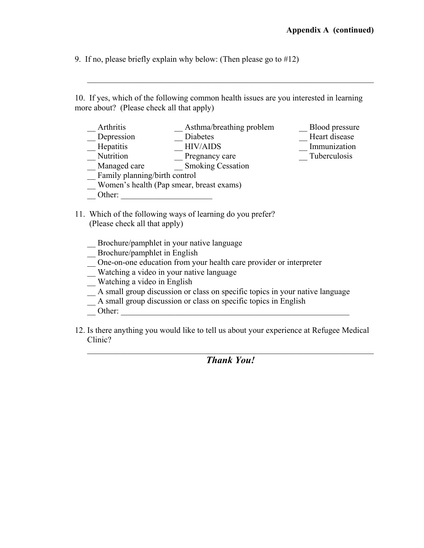9. If no, please briefly explain why below: (Then please go to #12)

10. If yes, which of the following common health issues are you interested in learning more about? (Please check all that apply)

 $\mathcal{L}_\text{max} = \frac{1}{2} \sum_{i=1}^n \mathcal{L}_\text{max}(\mathbf{z}_i - \mathbf{z}_i)$ 

- \_\_ Arthritis \_\_ \_\_ \_\_ \_\_ \_\_ \_\_ Asthma/breathing problem \_\_\_ \_\_ \_\_ Blood pressure \_\_ \_\_ Diabetes \_\_ \_\_ \_\_ Diabetes \_\_ Depression \_\_ \_\_ Diabetes \_\_ \_\_ \_\_ \_\_ Heart disease \_\_ \_\_ \_\_ Heart disease \_\_ \_\_ \_\_ Heart disease \_\_ \_\_ \_\_ Heart disease \_\_ \_\_ \_\_ Heart disease \_\_ \_\_ \_\_ Heart disease \_\_ \_\_ \_\_ Heart disease \_\_ \_\_ \_\_ \_\_ Heart disease \_\_ \_\_ Hepatitis \_\_ HIV/AIDS \_\_ Immunization Nutrition Pregnancy care Tuberculosis \_\_ Managed care \_\_ Smoking Cessation \_\_ Family planning/birth control \_\_ Women's health (Pap smear, breast exams) Other:
	- 11. Which of the following ways of learning do you prefer? (Please check all that apply)
		- \_\_ Brochure/pamphlet in your native language
		- Brochure/pamphlet in English
		- \_\_ One-on-one education from your health care provider or interpreter
		- \_\_ Watching a video in your native language
		- \_\_ Watching a video in English
		- \_\_ A small group discussion or class on specific topics in your native language
		- \_\_ A small group discussion or class on specific topics in English
		- $\blacksquare$  Other:
	- 12. Is there anything you would like to tell us about your experience at Refugee Medical Clinic?

 $\mathcal{L}_\text{max} = \frac{1}{2} \sum_{i=1}^n \mathcal{L}_\text{max}(\mathbf{z}_i - \mathbf{z}_i)$ *Thank You!*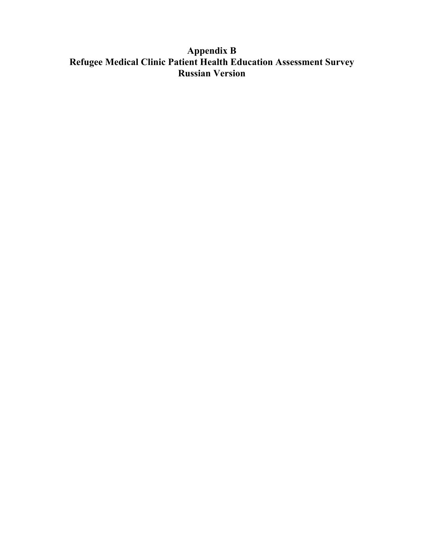# **Appendix B Refugee Medical Clinic Patient Health Education Assessment Survey Russian Version**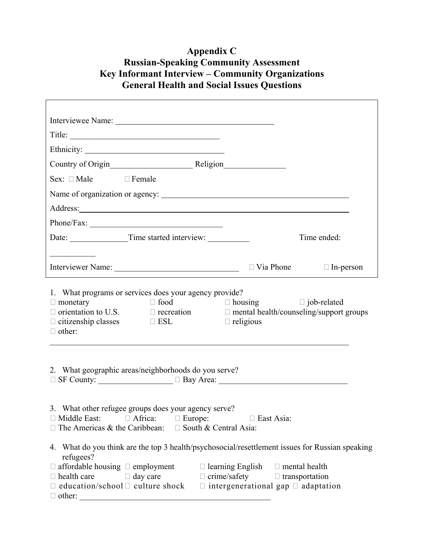# **Appendix C Russian-Speaking Community Assessment Key Informant Interview – Community Organizations General Health and Social Issues Questions**

| Interviewee Name:                                                                                                                                                                                                                                                                                                                                                 |                                                                    |             |  |  |
|-------------------------------------------------------------------------------------------------------------------------------------------------------------------------------------------------------------------------------------------------------------------------------------------------------------------------------------------------------------------|--------------------------------------------------------------------|-------------|--|--|
| Title:                                                                                                                                                                                                                                                                                                                                                            |                                                                    |             |  |  |
|                                                                                                                                                                                                                                                                                                                                                                   |                                                                    |             |  |  |
| Country of Origin<br><u>Religion</u><br>Religion                                                                                                                                                                                                                                                                                                                  |                                                                    |             |  |  |
| $Sex: \Box Male \Box Female$                                                                                                                                                                                                                                                                                                                                      |                                                                    |             |  |  |
|                                                                                                                                                                                                                                                                                                                                                                   |                                                                    |             |  |  |
|                                                                                                                                                                                                                                                                                                                                                                   |                                                                    |             |  |  |
|                                                                                                                                                                                                                                                                                                                                                                   |                                                                    |             |  |  |
|                                                                                                                                                                                                                                                                                                                                                                   |                                                                    | Time ended: |  |  |
| <u> 1989 - Johann John Stone, mars eta industrial eta industrial eta industrial eta industrial eta industrial e</u>                                                                                                                                                                                                                                               |                                                                    |             |  |  |
|                                                                                                                                                                                                                                                                                                                                                                   |                                                                    |             |  |  |
| 1. What programs or services does your agency provide?<br>$\Box$ food $\Box$ housing $\Box$ job-related<br>$\Box$ monetary<br>$\Box$ orientation to U.S. $\Box$ recreation<br>$\Box$ citizenship classes $\Box$ ESL<br>$\Box$ other:                                                                                                                              | $\Box$ mental health/counseling/support groups<br>$\Box$ religious |             |  |  |
| 2. What geographic areas/neighborhoods do you serve?                                                                                                                                                                                                                                                                                                              |                                                                    |             |  |  |
| 3. What other refugee groups does your agency serve?<br>$\Box$ Middle East: $\Box$ Africa: $\Box$ Europe:<br>$\Box$ East Asia:<br>$\Box$ The Americas & the Caribbean: $\Box$ South & Central Asia:                                                                                                                                                               |                                                                    |             |  |  |
| 4. What do you think are the top 3 health/psychosocial/resettlement issues for Russian speaking<br>refugees?<br>$\Box$ affordable housing $\Box$ employment $\Box$ learning English $\Box$ mental health<br>$\Box$ day care<br>$\Box$ health care<br>$\Box$ education/school $\Box$ culture shock $\Box$ intergenerational gap $\Box$ adaptation<br>$\Box$ other: | $\Box$ crime/safety $\Box$ transportation                          |             |  |  |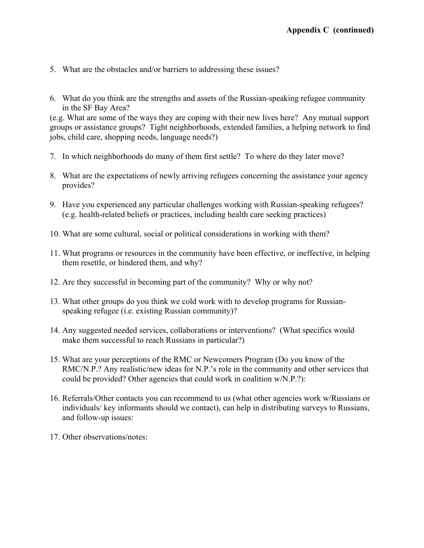- 5. What are the obstacles and/or barriers to addressing these issues?
- 6. What do you think are the strengths and assets of the Russian-speaking refugee community in the SF Bay Area?

(e.g. What are some of the ways they are coping with their new lives here? Any mutual support groups or assistance groups? Tight neighborhoods, extended families, a helping network to find jobs, child care, shopping needs, language needs?)

- 7. In which neighborhoods do many of them first settle? To where do they later move?
- 8. What are the expectations of newly arriving refugees concerning the assistance your agency provides?
- 9. Have you experienced any particular challenges working with Russian-speaking refugees? (e.g. health-related beliefs or practices, including health care seeking practices)
- 10. What are some cultural, social or political considerations in working with them?
- 11. What programs or resources in the community have been effective, or ineffective, in helping them resettle, or hindered them, and why?
- 12. Are they successful in becoming part of the community? Why or why not?
- 13. What other groups do you think we cold work with to develop programs for Russianspeaking refugee (i.e. existing Russian community)?
- 14. Any suggested needed services, collaborations or interventions? (What specifics would make them successful to reach Russians in particular?)
- 15. What are your perceptions of the RMC or Newcomers Program (Do you know of the RMC/N.P.? Any realistic/new ideas for N.P.'s role in the community and other services that could be provided? Other agencies that could work in coalition w/N.P.?):
- 16. Referrals/Other contacts you can recommend to us (what other agencies work w/Russians or individuals/ key informants should we contact), can help in distributing surveys to Russians, and follow-up issues:
- 17. Other observations/notes: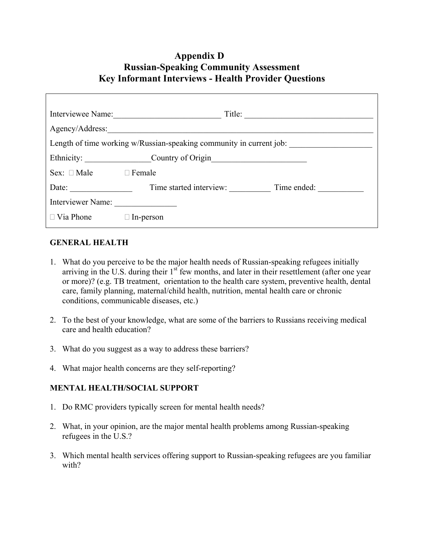# **Appendix D Russian-Speaking Community Assessment Key Informant Interviews - Health Provider Questions**

|                              | Interviewee Name:            | Title:                                                              |
|------------------------------|------------------------------|---------------------------------------------------------------------|
|                              | Agency/Address:              |                                                                     |
|                              |                              | Length of time working w/Russian-speaking community in current job: |
|                              | Ethnicity: Country of Origin |                                                                     |
| $Sex: \Box Male \Box Female$ |                              |                                                                     |
| Date:                        | Time started interview:      | Time ended:                                                         |
| Interviewer Name:            |                              |                                                                     |
| $\Box$ Via Phone             | $\Box$ In-person             |                                                                     |

## **GENERAL HEALTH**

- 1. What do you perceive to be the major health needs of Russian-speaking refugees initially arriving in the U.S. during their 1<sup>st</sup> few months, and later in their resettlement (after one year or more)? (e.g. TB treatment, orientation to the health care system, preventive health, dental care, family planning, maternal/child health, nutrition, mental health care or chronic conditions, communicable diseases, etc.)
- 2. To the best of your knowledge, what are some of the barriers to Russians receiving medical care and health education?
- 3. What do you suggest as a way to address these barriers?
- 4. What major health concerns are they self-reporting?

## **MENTAL HEALTH/SOCIAL SUPPORT**

- 1. Do RMC providers typically screen for mental health needs?
- 2. What, in your opinion, are the major mental health problems among Russian-speaking refugees in the U.S.?
- 3. Which mental health services offering support to Russian-speaking refugees are you familiar with?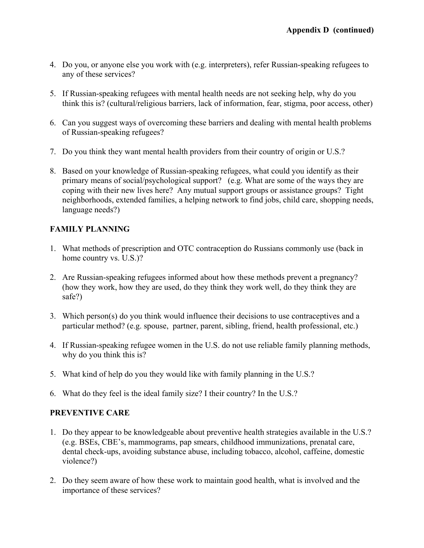- 4. Do you, or anyone else you work with (e.g. interpreters), refer Russian-speaking refugees to any of these services?
- 5. If Russian-speaking refugees with mental health needs are not seeking help, why do you think this is? (cultural/religious barriers, lack of information, fear, stigma, poor access, other)
- 6. Can you suggest ways of overcoming these barriers and dealing with mental health problems of Russian-speaking refugees?
- 7. Do you think they want mental health providers from their country of origin or U.S.?
- 8. Based on your knowledge of Russian-speaking refugees, what could you identify as their primary means of social/psychological support? (e.g. What are some of the ways they are coping with their new lives here? Any mutual support groups or assistance groups? Tight neighborhoods, extended families, a helping network to find jobs, child care, shopping needs, language needs?)

# **FAMILY PLANNING**

- 1. What methods of prescription and OTC contraception do Russians commonly use (back in home country vs. U.S.)?
- 2. Are Russian-speaking refugees informed about how these methods prevent a pregnancy? (how they work, how they are used, do they think they work well, do they think they are safe?)
- 3. Which person(s) do you think would influence their decisions to use contraceptives and a particular method? (e.g. spouse, partner, parent, sibling, friend, health professional, etc.)
- 4. If Russian-speaking refugee women in the U.S. do not use reliable family planning methods, why do you think this is?
- 5. What kind of help do you they would like with family planning in the U.S.?
- 6. What do they feel is the ideal family size? I their country? In the U.S.?

# **PREVENTIVE CARE**

- 1. Do they appear to be knowledgeable about preventive health strategies available in the U.S.? (e.g. BSEs, CBE's, mammograms, pap smears, childhood immunizations, prenatal care, dental check-ups, avoiding substance abuse, including tobacco, alcohol, caffeine, domestic violence?)
- 2. Do they seem aware of how these work to maintain good health, what is involved and the importance of these services?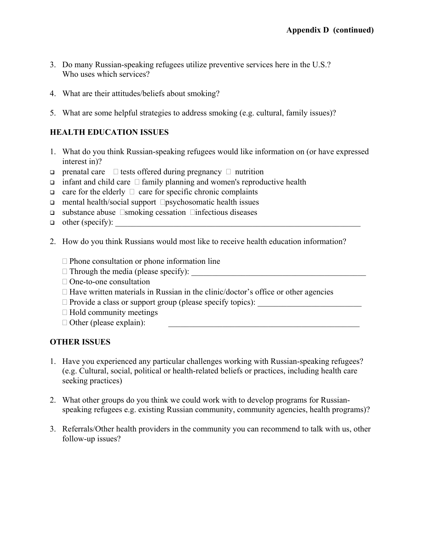- 3. Do many Russian-speaking refugees utilize preventive services here in the U.S.? Who uses which services?
- 4. What are their attitudes/beliefs about smoking?
- 5. What are some helpful strategies to address smoking (e.g. cultural, family issues)?

# **HEALTH EDUCATION ISSUES**

- 1. What do you think Russian-speaking refugees would like information on (or have expressed interest in)?
- **prenatal care**  $\Box$  tests offered during pregnancy  $\Box$  nutrition
- $\Box$  infant and child care  $\Box$  family planning and women's reproductive health
- $\Box$  care for the elderly  $\Box$  care for specific chronic complaints
- mental health/social support  $\Box$ psychosomatic health issues
- $\Box$  substance abuse  $\Box$ smoking cessation  $\Box$ infectious diseases
- $\Box$  other (specify):
- 2. How do you think Russians would most like to receive health education information?
	- $\Box$  Phone consultation or phone information line
	- Through the media (please specify): \_\_\_\_\_\_\_\_\_\_\_\_\_\_\_\_\_\_\_\_\_\_\_\_\_\_\_\_\_\_\_\_\_\_\_\_\_\_\_\_\_\_
	- □ One-to-one consultation
	- $\Box$  Have written materials in Russian in the clinic/doctor's office or other agencies
	- Provide a class or support group (please specify topics): \_\_\_\_\_\_\_\_\_\_\_\_\_\_\_\_\_\_\_\_\_\_\_\_\_
	- $\Box$  Hold community meetings
	- $\Box$  Other (please explain):

# **OTHER ISSUES**

- 1. Have you experienced any particular challenges working with Russian-speaking refugees? (e.g. Cultural, social, political or health-related beliefs or practices, including health care seeking practices)
- 2. What other groups do you think we could work with to develop programs for Russianspeaking refugees e.g. existing Russian community, community agencies, health programs)?
- 3. Referrals/Other health providers in the community you can recommend to talk with us, other follow-up issues?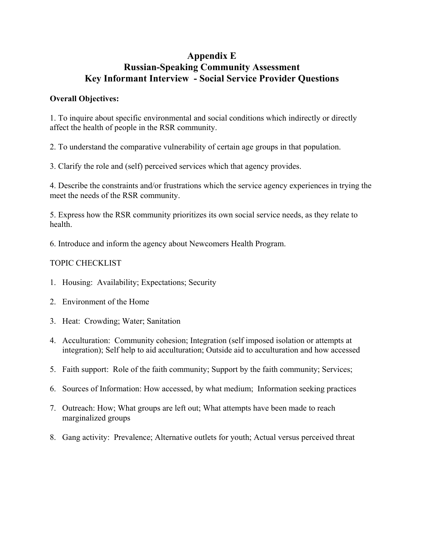# **Appendix E Russian-Speaking Community Assessment Key Informant Interview - Social Service Provider Questions**

# **Overall Objectives:**

1. To inquire about specific environmental and social conditions which indirectly or directly affect the health of people in the RSR community.

2. To understand the comparative vulnerability of certain age groups in that population.

3. Clarify the role and (self) perceived services which that agency provides.

4. Describe the constraints and/or frustrations which the service agency experiences in trying the meet the needs of the RSR community.

5. Express how the RSR community prioritizes its own social service needs, as they relate to health.

6. Introduce and inform the agency about Newcomers Health Program.

# TOPIC CHECKLIST

- 1. Housing: Availability; Expectations; Security
- 2. Environment of the Home
- 3. Heat: Crowding; Water; Sanitation
- 4. Acculturation: Community cohesion; Integration (self imposed isolation or attempts at integration); Self help to aid acculturation; Outside aid to acculturation and how accessed
- 5. Faith support: Role of the faith community; Support by the faith community; Services;
- 6. Sources of Information: How accessed, by what medium; Information seeking practices
- 7. Outreach: How; What groups are left out; What attempts have been made to reach marginalized groups
- 8. Gang activity: Prevalence; Alternative outlets for youth; Actual versus perceived threat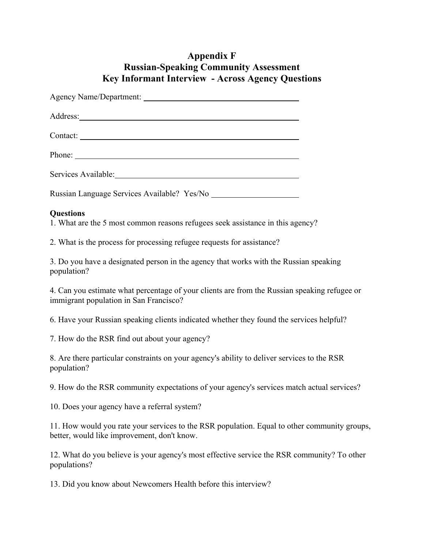# **Appendix F Russian-Speaking Community Assessment Key Informant Interview - Across Agency Questions**

| Russian Language Services Available? Yes/No |
|---------------------------------------------|
| $\sim$ $\sim$                               |

## **Questions**

1. What are the 5 most common reasons refugees seek assistance in this agency?

2. What is the process for processing refugee requests for assistance?

3. Do you have a designated person in the agency that works with the Russian speaking population?

4. Can you estimate what percentage of your clients are from the Russian speaking refugee or immigrant population in San Francisco?

6. Have your Russian speaking clients indicated whether they found the services helpful?

7. How do the RSR find out about your agency?

8. Are there particular constraints on your agency's ability to deliver services to the RSR population?

9. How do the RSR community expectations of your agency's services match actual services?

10. Does your agency have a referral system?

11. How would you rate your services to the RSR population. Equal to other community groups, better, would like improvement, don't know.

12. What do you believe is your agency's most effective service the RSR community? To other populations?

13. Did you know about Newcomers Health before this interview?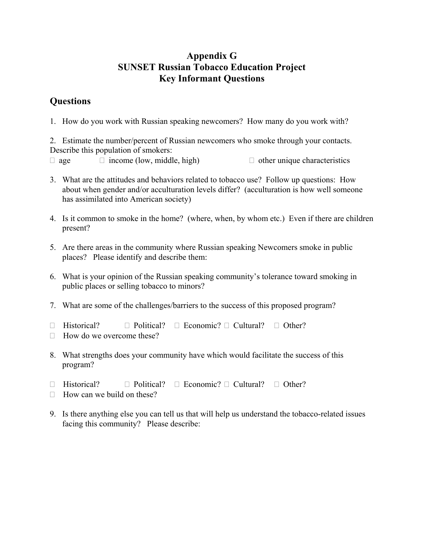# **Appendix G SUNSET Russian Tobacco Education Project Key Informant Questions**

# **Questions**

1. How do you work with Russian speaking newcomers? How many do you work with?

2. Estimate the number/percent of Russian newcomers who smoke through your contacts. Describe this population of smokers:

 $\Box$  age  $\Box$  income (low, middle, high)  $\Box$  other unique characteristics

- 3. What are the attitudes and behaviors related to tobacco use? Follow up questions: How about when gender and/or acculturation levels differ? (acculturation is how well someone has assimilated into American society)
- 4. Is it common to smoke in the home? (where, when, by whom etc.) Even if there are children present?
- 5. Are there areas in the community where Russian speaking Newcomers smoke in public places? Please identify and describe them:
- 6. What is your opinion of the Russian speaking community's tolerance toward smoking in public places or selling tobacco to minors?
- 7. What are some of the challenges/barriers to the success of this proposed program?
- $\Box$  Historical?  $\Box$  Political?  $\Box$  Economic?  $\Box$  Cultural?  $\Box$  Other?
- $\Box$  How do we overcome these?
- 8. What strengths does your community have which would facilitate the success of this program?
- $\Box$  Historical?  $\Box$  Political?  $\Box$  Economic?  $\Box$  Cultural?  $\Box$  Other?
- $\Box$  How can we build on these?
- 9. Is there anything else you can tell us that will help us understand the tobacco-related issues facing this community? Please describe: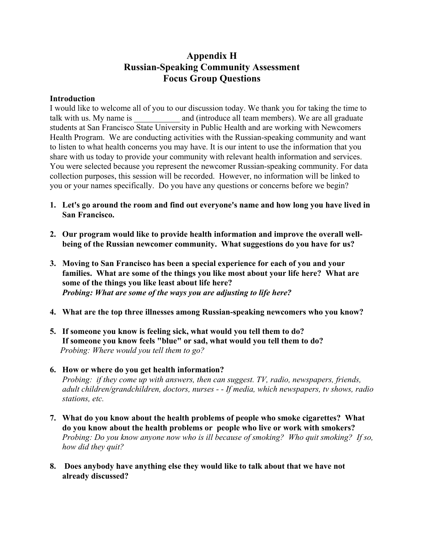# **Appendix H Russian-Speaking Community Assessment Focus Group Questions**

## **Introduction**

I would like to welcome all of you to our discussion today. We thank you for taking the time to talk with us. My name is and (introduce all team members). We are all graduate students at San Francisco State University in Public Health and are working with Newcomers Health Program. We are conducting activities with the Russian-speaking community and want to listen to what health concerns you may have. It is our intent to use the information that you share with us today to provide your community with relevant health information and services. You were selected because you represent the newcomer Russian-speaking community. For data collection purposes, this session will be recorded. However, no information will be linked to you or your names specifically. Do you have any questions or concerns before we begin?

- **1. Let's go around the room and find out everyone's name and how long you have lived in San Francisco.**
- **2. Our program would like to provide health information and improve the overall wellbeing of the Russian newcomer community. What suggestions do you have for us?**
- **3. Moving to San Francisco has been a special experience for each of you and your families. What are some of the things you like most about your life here? What are some of the things you like least about life here?**   *Probing: What are some of the ways you are adjusting to life here?*
- **4. What are the top three illnesses among Russian-speaking newcomers who you know?**
- **5. If someone you know is feeling sick, what would you tell them to do? If someone you know feels "blue" or sad, what would you tell them to do?**   *Probing: Where would you tell them to go?*
- **6. How or where do you get health information?**  *Probing: if they come up with answers, then can suggest. TV, radio, newspapers, friends, adult children/grandchildren, doctors, nurses - - If media, which newspapers, tv shows, radio stations, etc.*
- **7. What do you know about the health problems of people who smoke cigarettes? What do you know about the health problems or people who live or work with smokers?**  *Probing: Do you know anyone now who is ill because of smoking? Who quit smoking? If so, how did they quit?*
- **8. Does anybody have anything else they would like to talk about that we have not already discussed?**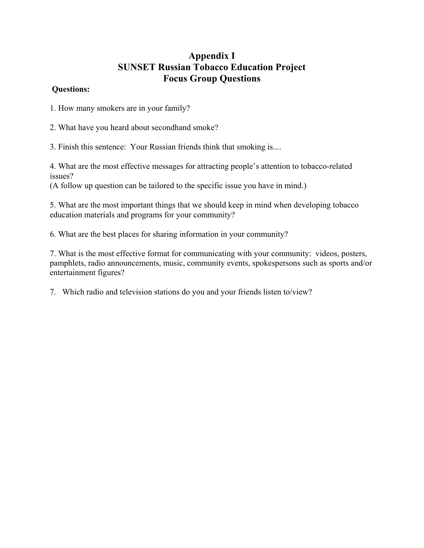# **Appendix I SUNSET Russian Tobacco Education Project Focus Group Questions**

## **Questions:**

1. How many smokers are in your family?

2. What have you heard about secondhand smoke?

3. Finish this sentence: Your Russian friends think that smoking is....

4. What are the most effective messages for attracting people's attention to tobacco-related issues?

(A follow up question can be tailored to the specific issue you have in mind.)

5. What are the most important things that we should keep in mind when developing tobacco education materials and programs for your community?

6. What are the best places for sharing information in your community?

7. What is the most effective format for communicating with your community: videos, posters, pamphlets, radio announcements, music, community events, spokespersons such as sports and/or entertainment figures?

7. Which radio and television stations do you and your friends listen to/view?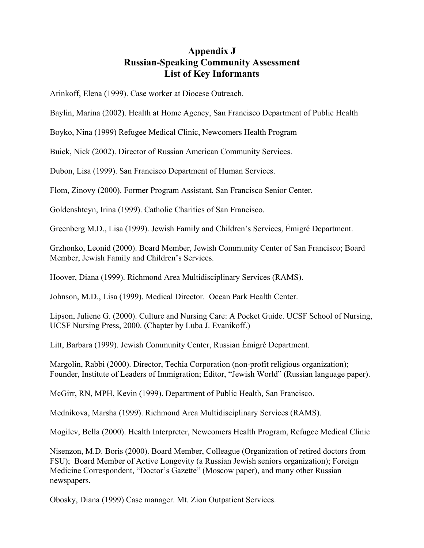# **Appendix J Russian-Speaking Community Assessment List of Key Informants**

Arinkoff, Elena (1999). Case worker at Diocese Outreach.

Baylin, Marina (2002). Health at Home Agency, San Francisco Department of Public Health

Boyko, Nina (1999) Refugee Medical Clinic, Newcomers Health Program

Buick, Nick (2002). Director of Russian American Community Services.

Dubon, Lisa (1999). San Francisco Department of Human Services.

Flom, Zinovy (2000). Former Program Assistant, San Francisco Senior Center.

Goldenshteyn, Irina (1999). Catholic Charities of San Francisco.

Greenberg M.D., Lisa (1999). Jewish Family and Children's Services, Émigré Department.

Grzhonko, Leonid (2000). Board Member, Jewish Community Center of San Francisco; Board Member, Jewish Family and Children's Services.

Hoover, Diana (1999). Richmond Area Multidisciplinary Services (RAMS).

Johnson, M.D., Lisa (1999). Medical Director. Ocean Park Health Center.

Lipson, Juliene G. (2000). Culture and Nursing Care: A Pocket Guide. UCSF School of Nursing, UCSF Nursing Press, 2000. (Chapter by Luba J. Evanikoff.)

Litt, Barbara (1999). Jewish Community Center, Russian Émigré Department.

Margolin, Rabbi (2000). Director, Techia Corporation (non-profit religious organization); Founder, Institute of Leaders of Immigration; Editor, "Jewish World" (Russian language paper).

McGirr, RN, MPH, Kevin (1999). Department of Public Health, San Francisco.

Mednikova, Marsha (1999). Richmond Area Multidisciplinary Services (RAMS).

Mogilev, Bella (2000). Health Interpreter, Newcomers Health Program, Refugee Medical Clinic

Nisenzon, M.D. Boris (2000). Board Member, Colleague (Organization of retired doctors from FSU); Board Member of Active Longevity (a Russian Jewish seniors organization); Foreign Medicine Correspondent, "Doctor's Gazette" (Moscow paper), and many other Russian newspapers.

Obosky, Diana (1999) Case manager. Mt. Zion Outpatient Services.